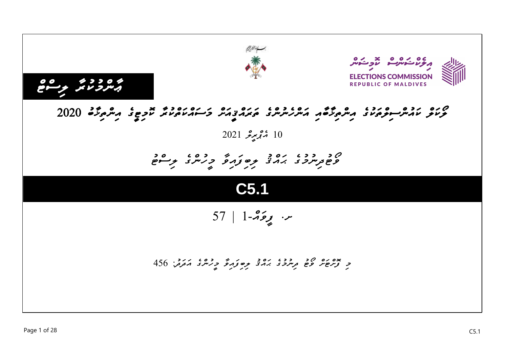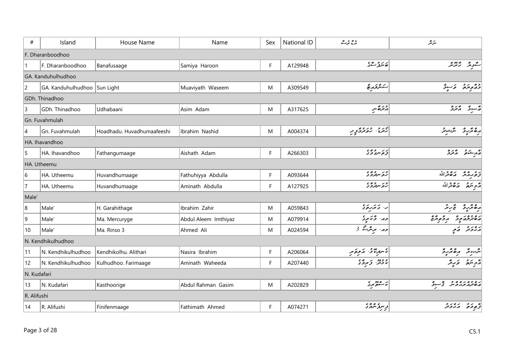| #           | Island                       | House Name                 | Name                 | Sex         | National ID | ، ه ، ره<br>مربح نیر شه              | ىئرىتر                                     |
|-------------|------------------------------|----------------------------|----------------------|-------------|-------------|--------------------------------------|--------------------------------------------|
|             | F. Dharanboodhoo             |                            |                      |             |             |                                      |                                            |
|             | F. Dharanboodhoo             | Banafusaage                | Samiya Haroon        | F           | A129948     | ە ئىروپىيى                           | شوېر ژبرېر                                 |
|             | GA. Kanduhulhudhoo           |                            |                      |             |             |                                      |                                            |
|             | GA. Kanduhulhudhoo Sun Light |                            | Muaviyath Waseem     | M           | A309549     | سە ئىر ئۆرگ                          | ووکورکو کوسوژ                              |
|             | GDh. Thinadhoo               |                            |                      |             |             |                                      |                                            |
| 3           | GDh. Thinadhoo               | Udhabaani                  | Asim Adam            | ${\sf M}$   | A317625     | د دره سر<br>م <i>ر</i> تون سر        | ړ سره د ترور                               |
|             | Gn. Fuvahmulah               |                            |                      |             |             |                                      |                                            |
|             | Gn. Fuvahmulah               | Hoadhadu. Huvadhumaafeeshi | Ibrahim Nashid       | M           | A004374     | ج بر و در وي د بر<br>(رس - روبروي بر | رە ئۇرۇ سەمىر                              |
|             | HA. Ihavandhoo               |                            |                      |             |             |                                      |                                            |
| 5           | HA. Ihavandhoo               | Fathangumaage              | Aishath Adam         | F           | A266303     | ر ر<br>تو <i>ه سر د</i> د د          | ه د شکوه او دره<br><i>م</i> گر شکوه ار فرو |
|             | HA. Utheemu                  |                            |                      |             |             |                                      |                                            |
| 6           | HA. Utheemu                  | Huvandhumaage              | Fathuhiyya Abdulla   | $\mathsf F$ | A093644     | و ر په و ده و<br>ر ه سربر و د        | تر و و شهره محدد الله                      |
| 7           | HA. Utheemu                  | Huvandhumaage              | Aminath Abdulla      | $\mathsf F$ | A127925     | و رکھنے کا مختلف<br>مرکز مسجد کر     | مُجْرَمَعِ مُصْغَرِاللَّهُ                 |
| Male'       |                              |                            |                      |             |             |                                      |                                            |
| 8           | Male'                        | H. Garahithage             | Ibrahim Zahir        | ${\sf M}$   | A059843     | ر کا تر ره کا                        |                                            |
| 9           | Male'                        | Ma. Mercuryge              | Abdul Aleem Imthiyaz | M           | A079914     | وە. ئ <sup>ې</sup> ئېرى              | גם בפגבב הבתהב                             |
| 10          | Male'                        | Ma. Rinso 3                | Ahmed Ali            | ${\sf M}$   | A024594     | حەر، بىر شرىگ 3                      | برەرد پەر                                  |
|             | N. Kendhikulhudhoo           |                            |                      |             |             |                                      |                                            |
| 11          | N. Kendhikulhudhoo           | Kendhikolhu. Alithari      | Nasira Ibrahim       | F           | A206064     | ءَ سعرِ بينمنٽ- هڪ جو جو سر          | لترسبه تر<br>ە ھەتئەر ۋ                    |
| 12          | N. Kendhikulhudhoo           | Kulhudhoo. Farimaage       | Aminath Waheeda      | F           | A207440     | و ودو.<br>با دې. کې پردگ             | أزويتكم وتباشر                             |
| N. Kudafari |                              |                            |                      |             |             |                                      |                                            |
| 13          | N. Kudafari                  | Kasthoorige                | Abdul Rahman Gasim   | M           | A202829     | ر ۶۶۵ و.<br>ما سسوچ مېرې             | رە دەرە بەر<br>مەھىرمە <i>ر ب</i> ەر ئىسى  |
| R. Alifushi |                              |                            |                      |             |             |                                      |                                            |
| 14          | R. Alifushi                  | Finifenmaage               | Fathimath Ahmed      | F           | A074271     | ر سرگە ش <sup>ى</sup> رى             | و ده ده ده د                               |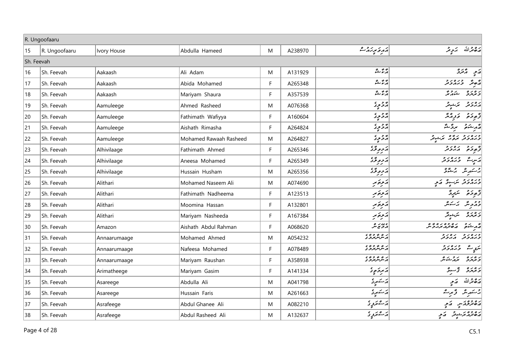|            | R. Ungoofaaru |              |                        |             |         |                                        |                                                          |
|------------|---------------|--------------|------------------------|-------------|---------|----------------------------------------|----------------------------------------------------------|
| 15         | R. Ungoofaaru | Ivory House  | Abdulla Hameed         | ${\sf M}$   | A238970 | رو مر بر بر مار<br>  د بر مر بر بر مار | أضعض الله برويمر                                         |
| Sh. Feevah |               |              |                        |             |         |                                        |                                                          |
| 16         | Sh. Feevah    | Aakaash      | Ali Adam               | ${\sf M}$   | A131929 | لجرثمث                                 | أەسم أورد                                                |
| 17         | Sh. Feevah    | Aakaash      | Abida Mohamed          | $\mathsf F$ | A265348 | ېر تر شه                               | أشهق وره دو                                              |
| 18         | Sh. Feevah    | Aakaash      | Mariyam Shaura         | F           | A357539 | رژيئريثه                               | و ده ده سرور در در کار کرد کر                            |
| 19         | Sh. Feevah    | Aamuleege    | Ahmed Rasheed          | ${\sf M}$   | A076368 | پژخري                                  | ره رو کرد و<br>درگردگر کردوگر                            |
| 20         | Sh. Feevah    | Aamuleege    | Fathimath Wafiyya      | F           | A160604 | ا پر د بر پر<br>انگر د بر              | أَدْجِرَةً وَرُوْجَرَ                                    |
| 21         | Sh. Feevah    | Aamuleege    | Aishath Rimasha        | F           | A264824 | پر د پر ؟<br>  پر د پر پر              | وكرم شكوة المركز مشكر                                    |
| 22         | Sh. Feevah    | Aamuleege    | Mohamed Rawaah Rasheed | M           | A264827 | پر و پر پر<br>د گرون                   | ورەرو روە رىد                                            |
| 23         | Sh. Feevah    | Alhivilaage  | Fathimath Ahmed        | $\mathsf F$ | A265346 | <br>  در در ژی                         | و ده ده ده د                                             |
| 24         | Sh. Feevah    | Alhivilaage  | Aneesa Mohamed         | F           | A265349 | ر<br>د عره محرد                        | أرسرت وره دو                                             |
| 25         | Sh. Feevah    | Alhivilaage  | Hussain Husham         | M           | A265356 | ە ئىرەپە ئىچ                           | بركتهر شرار برحقوق                                       |
| 26         | Sh. Feevah    | Alithari     | Mohamed Naseem Ali     | M           | A074690 | وكمعرض                                 | ورەرو شەرە كەر                                           |
| 27         | Sh. Feevah    | Alithari     | Fathimath Nadheema     | F           | A123513 | لأحرة سر                               | توالله وكالمحمد والمستردة                                |
| 28         | Sh. Feevah    | Alithari     | Moomina Hassan         | F           | A132801 | لأحرجوسر                               | وووير برسكير                                             |
| 29         | Sh. Feevah    | Alithari     | Mariyam Nasheeda       | F           | A167384 | أزوءبر                                 | و ۱۵ مر سرشونگر                                          |
| 30         | Sh. Feevah    | Amazon       | Aishath Abdul Rahman   | $\mathsf F$ | A068620 | ى يەر ھ<br>مە <del>ر</del> ىج مىر      | CAR CONDO CONDO                                          |
| 31         | Sh. Feevah    | Annaarumaage | Mohamed Ahmed          | M           | A054232 | ر ۵ ۶ ۶ و ۶<br>۸ سرسرپرو ی             | כנסנכ נסנכ<br>כ <i>ג</i> ונכנ <sub>י</sub> ו <i>ג</i> בנ |
| 32         | Sh. Feevah    | Annaarumaage | Nafeesa Mohamed        | F           | A078489 | ر ۵ ۶ ۶ ۶ و.<br>۸ سرسربرو ی            | ټرړ په دره د د                                           |
| 33         | Sh. Feevah    | Annaarumaage | Mariyam Raushan        | F           | A358938 | ر ه ۶ و ۶ و<br>د سرسربرو د             | رەرە روپ                                                 |
| 34         | Sh. Feevah    | Arimatheege  | Mariyam Gasim          | $\mathsf F$ | A141334 | أرسر خرمونه                            | پر ه پر ه<br>تۇسىۋ                                       |
| 35         | Sh. Feevah    | Asareege     | Abdulla Ali            | ${\sf M}$   | A041798 | وكمسكوى                                | يرەدرالله 1ج                                             |
| 36         | Sh. Feevah    | Asareege     | Hussain Faris          | M           | A261663 | ېزىكە يې <sub>د</sub> ى<br>ئ           | ارىسكىرىنى ئۇنبوس <mark>ى</mark>                         |
| 37         | Sh. Feevah    | Asrafeege    | Abdul Ghanee Ali       | ${\sf M}$   | A082210 | ىز س <sup>9</sup> ىئرى <sub>ۋى</sub> ر | رە دەنبە مەر                                             |
| 38         | Sh. Feevah    | Asrafeege    | Abdul Rasheed Ali      | ${\sf M}$   | A132637 | ىر سەنىزى <sub>رى</sub> ئ              | ره وه رسوتر کرم                                          |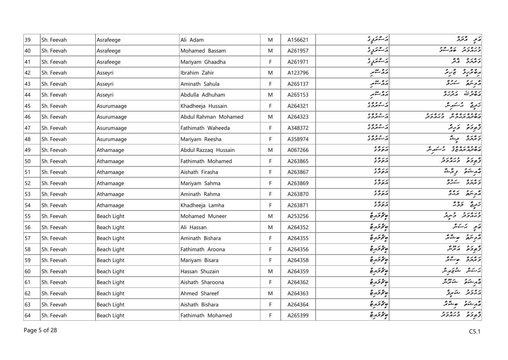| 39 | Sh. Feevah | Asrafeege   | Ali Adam             | ${\sf M}$ | A156621 | ئەسشە ئىرىپ ئى                      | پر په پروژ                                                                                                                                                                    |
|----|------------|-------------|----------------------|-----------|---------|-------------------------------------|-------------------------------------------------------------------------------------------------------------------------------------------------------------------------------|
| 40 | Sh. Feevah | Asrafeege   | Mohamed Bassam       | ${\sf M}$ | A261957 | ئەسىمىرىي                           | وره ده ده ود                                                                                                                                                                  |
| 41 | Sh. Feevah | Asrafeege   | Mariyam Ghaadha      | F         | A261971 | ئەسىمىرى<br>  ئەسىمىرى              | ر ه ر ه<br>تر بر بر<br>دَرٌ تَعر                                                                                                                                              |
| 42 | Sh. Feevah | Asseyri     | Ibrahim Zahir        | M         | A123796 | لره بيمبر                           | وهنر و تمریز                                                                                                                                                                  |
| 43 | Sh. Feevah | Asseyri     | Aminath Sahula       | F         | A265137 | لره يهمبر                           | ۇ يېزۇ سىزدۇ                                                                                                                                                                  |
| 44 | Sh. Feevah | Asseyri     | Abdulla Adhuham      | ${\sf M}$ | A265153 | بره يھير                            | أرة قرالله مرمرمو                                                                                                                                                             |
| 45 | Sh. Feevah | Asurumaage  | Khadheeja Hussain    | F         | A264321 | بر و و پر ،<br>پرستوبر <sub>ک</sub> | تزمریق   بر شهر مگر                                                                                                                                                           |
| 46 | Sh. Feevah | Asurumaage  | Abdul Rahman Mohamed | ${\sf M}$ | A264323 | ر و و و و و<br>پر سونورۍ            | נסכסנסים כנסנכ<br>השנג <i>גיבית כ</i> גגבת                                                                                                                                    |
| 47 | Sh. Feevah | Asurumaage  | Fathimath Waheeda    | F         | A348372 | بر و د د ،<br>مرسوبرد د             | وَّجِوحَهُ وَرِيَّزٌ                                                                                                                                                          |
| 48 | Sh. Feevah | Asurumaage  | Mariyam Reesha       | F         | A358974 | بر و و » »<br>پرسته پوری            | دەرە بېش                                                                                                                                                                      |
| 49 | Sh. Feevah | Athamaage   | Abdul Razzaq Hussain | M         | A067266 | بر بر بر بر<br>در بر بر بر          | ره وه ره دو و در م                                                                                                                                                            |
| 50 | Sh. Feevah | Athamaage   | Fathimath Mohamed    | F         | A263865 | ر ر د »<br>د ه د د                  | أوجوحه وبره برو                                                                                                                                                               |
| 51 | Sh. Feevah | Athamaage   | Aishath Firasha      | F         | A263867 | ر ر د »<br>د ه د د                  | ومرخفي وبمث                                                                                                                                                                   |
| 52 | Sh. Feevah | Athamaage   | Mariyam Sahma        | F         | A263869 | ر ر د »<br>د ه د د                  | رەرە بەدە                                                                                                                                                                     |
| 53 | Sh. Feevah | Athamaage   | Aminath Rahma        | F         | A263870 | د ر ه ،<br>  په پور                 | و برد و برده.                                                                                                                                                                 |
| 54 | Sh. Feevah | Athamaage   | Khadheeja Lamha      | F         | A263871 | ر ر د »<br>پره <del>و</del> و       | زَمِرةً وَوَبَرُ                                                                                                                                                              |
| 55 | Sh. Feevah | Beach Light | Mohamed Muneer       | ${\sf M}$ | A253256 | $e_{\lambda}$                       |                                                                                                                                                                               |
| 56 | Sh. Feevah | Beach Light | Ali Hassan           | M         | A264352 | <br>  په نوموړغ                     | $\begin{array}{ccc} & \overline{a} & \overline{a} & \overline{a} \\ & \overline{a} & \overline{a} & \overline{a} \\ & \overline{a} & \overline{a} & \overline{a} \end{array}$ |
| 57 | Sh. Feevah | Beach Light | Aminath Bishara      | F         | A264355 | <br>  په ټوکور ه                    |                                                                                                                                                                               |
| 58 | Sh. Feevah | Beach Light | Fathimath Aroona     | F         | A264356 | <br>  په ټوکور ه                    | توجدة متعاشر                                                                                                                                                                  |
| 59 | Sh. Feevah | Beach Light | Mariyam Bisara       | F         | A264358 | صر حمر حرم                          | ره ره ديگر                                                                                                                                                                    |
| 60 | Sh. Feevah | Beach Light | Hassan Shuzain       | M         | A264359 | <br>  میگوری                        | يرسكس مشتج مرمثله                                                                                                                                                             |
| 61 | Sh. Feevah | Beach Light | Aishath Sharoona     | F         | A264362 | په نؤ پر ه                          | ام<br>امکار مشتمر می مشتر میرسر                                                                                                                                               |
| 62 | Sh. Feevah | Beach Light | Ahmed Shareef        | ${\sf M}$ | A264363 | په نځو پر ه                         | پرور در سکھیں ج                                                                                                                                                               |
| 63 | Sh. Feevah | Beach Light | Aishath Bishara      | F         | A264364 | صحيح تحرم هم                        | أقهر شكوته ومشكر                                                                                                                                                              |
| 64 | Sh. Feevah | Beach Light | Fathimath Mohamed    | F         | A265399 | وكالحرارة                           | 77073 7793                                                                                                                                                                    |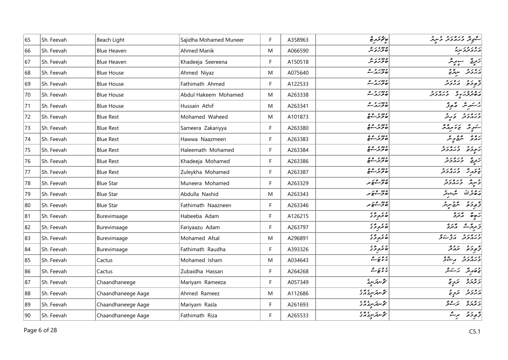| 65 | Sh. Feevah | Beach Light        | Sajidha Mohamed Muneer | F         | A358963 | ە ئۇ ئەر ق                                      | گەنۇ ئەزەر ئەر ئەر                                              |
|----|------------|--------------------|------------------------|-----------|---------|-------------------------------------------------|-----------------------------------------------------------------|
| 66 | Sh. Feevah | <b>Blue Heaven</b> | <b>Ahmed Manik</b>     | M         | A066590 | ه دو ، ر ه<br><i>ه مور و</i> مر                 | ړ ور ور سرچ                                                     |
| 67 | Sh. Feevah | <b>Blue Heaven</b> | Khadeeja Seereena      | F         | A150518 | ه دد ، ر ه<br><i>ه ور و</i> س                   | كتعريج السبعيدينكر                                              |
| 68 | Sh. Feevah | <b>Blue House</b>  | Ahmed Niyaz            | M         | A075640 | ە دور دەر                                       | גפנק תוצר                                                       |
| 69 | Sh. Feevah | <b>Blue House</b>  | Fathimath Ahmed        | F         | A122533 | ە دور دەپ                                       | أوجود بره رو                                                    |
| 70 | Sh. Feevah | <b>Blue House</b>  | Abdul Hakeem Mohamed   | ${\sf M}$ | A263338 | ەددىر دە                                        | גם כסגם כגם בב<br>הסתיכה עיד כההכת                              |
| 71 | Sh. Feevah | <b>Blue House</b>  | Hussain Athif          | ${\sf M}$ | A263341 | ەددىر دە                                        | جەسىر شەرق                                                      |
| 72 | Sh. Feevah | <b>Blue Rest</b>   | Mohamed Waheed         | ${\sf M}$ | A101873 | د دو ۽ ده ه<br>حامز مرحو                        | ورەرو رەپەر                                                     |
| 73 | Sh. Feevah | <b>Blue Rest</b>   | Sameera Zakariyya      | F         | A263380 | و دو به ده ه<br>ن <i>ن تو بر</i> سرچ            | سوپر پر مده                                                     |
| 74 | Sh. Feevah | <b>Blue Rest</b>   | Hawwa Naazmeen         | F         | A263383 | د دو د ه ه<br>حو بر سوچ                         | رەپ شىم پىر                                                     |
| 75 | Sh. Feevah | <b>Blue Rest</b>   | Haleemath Mohamed      | F         | A263384 | و دو د ه ه<br>حامو بر سوځ                       | و رە ر د<br>تر پروتر<br>لرَموحه                                 |
| 76 | Sh. Feevah | <b>Blue Rest</b>   | Khadeeja Mohamed       | F         | A263386 | و دو ده ده ه<br>خ <i>و</i> نو سرچ               | زَمِرِيَّ دَبَرُورَدِ                                           |
| 77 | Sh. Feevah | <b>Blue Rest</b>   | Zuleykha Mohamed       | F         | A263387 | و دو به ده ه<br>ن <i>ن تو بر</i> سرچ            | و ره ر و<br><i>و ټ</i> ه <del>و</del> تر<br>ە ئەرگە<br>ئاخ قرىر |
| 78 | Sh. Feevah | <b>Blue Star</b>   | Muneera Mohamed        | F         | A263329 | ە دورە بر                                       | وسرند وره دو                                                    |
| 79 | Sh. Feevah | <b>Blue Star</b>   | Abdulla Nashid         | M         | A263343 | ە دورە بر                                       | مَ هُ قَرَاللّه سَّرَشُوتَر                                     |
| 80 | Sh. Feevah | <b>Blue Star</b>   | Fathimath Naazneen     | F         | A263346 | ە دورە بر                                       | ۇ بۇ ئەقتىم ئەسپىتى بېرىتى                                      |
| 81 | Sh. Feevah | Burevimaage        | Habeeba Adam           | F         | A126215 | و ، په ، ،<br>مه ټرو د د                        |                                                                 |
| 82 | Sh. Feevah | Burevimaage        | Fariyaazu Adam         | F         | A263797 | د ،<br>حغر و د د                                | كر برور محمده                                                   |
| 83 | Sh. Feevah | Burevimaage        | Mohamed Afsal          | M         | A296891 | و ۽ پر پر ۽<br>چاپر پر پر پ                     | ورەرو رەپرو                                                     |
| 84 | Sh. Feevah | Burevimaage        | Fathimath Raudha       | F         | A393326 | و ۽ په په په<br>ح <i>م</i> ټرمو تر <sub>ک</sub> | أزموخا والمحمد                                                  |
| 85 | Sh. Feevah | Cactus             | Mohamed Isham          | M         | A034643 | 2.600                                           | ورەرو مەمۇ                                                      |
| 86 | Sh. Feevah | Cactus             | Zubaidha Hassan        | F         | A264268 | 2.600                                           | كالمحقوقة المركب مكر                                            |
| 87 | Sh. Feevah | Chaandhaneege      | Mariyam Rameeza        | F         | A057349 | كۇسىرىسى                                        | د ۱۵ د مر پر                                                    |
| 88 | Sh. Feevah | Chaandhaneege Aage | Ahmed Rameez           | ${\sf M}$ | A112686 | مۇسىترسى <i>م ئ</i>                             | د ۱۵ د چې ته ته د                                               |
| 89 | Sh. Feevah | Chaandhaneege Aage | Mariyam Rasla          | F         | A261693 | مۇسىرىسى مەي<br>مۇسىرىسى مەي                    | ىرىشۇ<br>ر ه ر ه<br>د بربرگ                                     |
| 90 | Sh. Feevah | Chaandhaneege Aage | Fathimath Riza         | F         | A265533 | مۇسىرىسى مەي                                    | أواوده برت                                                      |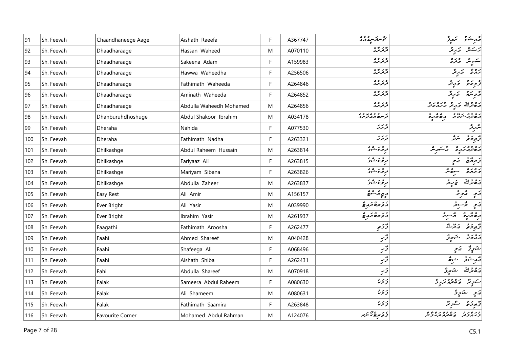| 91  | Sh. Feevah | Chaandhaneege Aage      | Aishath Raeefa          | F         | A367747 | مۇسىرىسى مەي<br>كۆسىرىسى مەي     | و ديده عمدة<br>ورشعو عمدة<br>برسو عبدة             |
|-----|------------|-------------------------|-------------------------|-----------|---------|----------------------------------|----------------------------------------------------|
| 92  | Sh. Feevah | Dhaadharaage            | Hassan Waheed           | M         | A070110 | یز بر بر بر<br>توتوبوری          |                                                    |
| 93  | Sh. Feevah | Dhaadharaage            | Sakeena Adam            | F         | A159983 | ی ر بر بر<br>ترتربر <sub>ک</sub> | سەر شەر ئەر ئەر                                    |
| 94  | Sh. Feevah | Dhaadharaage            | Hawwa Waheedha          | F         | A256506 | ی پر بر پر<br>ترتر تر پر         | رەپى <sub>كەيدى</sub> گە                           |
| 95  | Sh. Feevah | Dhaadharaage            | Fathimath Waheeda       | F         | A264846 | یز بر بر بر<br>ترتر <i>بر</i> بر | قَهْ وَجَعْرَ وَ اللَّهِ وَ                        |
| 96  | Sh. Feevah | Dhaadharaage            | Aminath Waheeda         | F         | A264852 | ی ر د د<br>ترتربری               | أزويتم وتاقر                                       |
| 97  | Sh. Feevah | Dhaadharaage            | Abdulla Waheedh Mohamed | M         | A264856 | یز بر بر بر<br>توتوبوی           | ره و الله ځ په د وره رو<br>مصرالله ځ په د حدم      |
| 98  | Sh. Feevah | Dhanburuhdhoshuge       | Abdul Shakoor Ibrahim   | ${\sf M}$ | A034178 | ر<br>ترسرچ بر د ترس>د            | נים כם נחבר בים שינים                              |
| 99  | Sh. Feevah | Dheraha                 | Nahida                  | F         | A077530 | ی پر پر<br>توبخر <i>ت</i>        | متزبر قر<br>مسلم                                   |
| 100 | Sh. Feevah | Dheraha                 | Fathimath Nadha         | F         | A263321 | ی پر پر<br>فریزبر                | وَّجِرَدَةُ سَرَمَّرُ                              |
| 101 | Sh. Feevah | Dhilkashge              | Abdul Raheem Hussain    | ${\sf M}$ | A263814 | دره <i>۲</i> شوی                 | גם כם גם ביצוע                                     |
| 102 | Sh. Feevah | Dhilkashge              | Fariyaaz Ali            | F         | A263815 | ورثو رَ شو ي                     | وَ يَدِيرٌ بِجَ لَهُ يَهِ                          |
| 103 | Sh. Feevah | Dhilkashge              | Mariyam Sibana          | F         | A263826 | و عرض شو ي                       | ر ه بر ه<br>تر <del>ب</del> ر بر ژ<br>سەھ ئىگر     |
| 104 | Sh. Feevah | Dhilkashge              | Abdulla Zaheer          | ${\sf M}$ | A263837 | مرڅرنم شو ځ                      | أرة فرالله تم سيتمر                                |
| 105 | Sh. Feevah | Easy Rest               | Ali Amir                | ${\sf M}$ | A156157 | ږېږ غر <u>ه ده</u>               | أوسمج وتحاجر                                       |
| 106 | Sh. Feevah | Ever Bright             | Ali Yasir               | ${\sf M}$ | A039990 | أرو بره بر ره                    | ە ئەسىرىدى.<br>مەسىرىدىن                           |
| 107 | Sh. Feevah | Ever Bright             | Ibrahim Yasir           | ${\sf M}$ | A261937 |                                  |                                                    |
| 108 | Sh. Feevah | Faagathi                | Fathimath Aroosha       | F         | A262477 | ۇ ئەمج                           |                                                    |
| 109 | Sh. Feevah | Faahi                   | Ahmed Shareef           | M         | A040428 | ۇر<br>د                          | رەرد خىرو                                          |
| 110 | Sh. Feevah | Faahi                   | Shafeega Ali            | F         | A068496 | ۇر<br>د                          | الشكم في أمكني                                     |
| 111 | Sh. Feevah | Faahi                   | Aishath Shiba           | F         | A262431 | وسمبر<br>مرس                     | كەر شەكىر شوڭ<br>1970-يىلىرىسى<br>1984-يىلى شەمىرى |
| 112 | Sh. Feevah | Fahi                    | Abdulla Shareef         | M         | A070918 | قرس                              |                                                    |
| 113 | Sh. Feevah | Falak                   | Sameera Abdul Raheem    | F         | A080630 | ۇئەد                             |                                                    |
| 114 | Sh. Feevah | Falak                   | Ali Shameem             | ${\sf M}$ | A080631 | ۇئە                              | أركمني المستوجد                                    |
| 115 | Sh. Feevah | Falak                   | Fathimath Saamira       | F         | A263848 | ترتزع                            | ۇ بەردە سەرىگە                                     |
| 116 | Sh. Feevah | <b>Favourite Corner</b> | Mohamed Abdul Rahman    | ${\sf M}$ | A124076 | <sub>ئ</sub> ې ئەرەم ئەرىر       | כנסנכ נסכסנסקס<br>כגמכנ משנמינגיכיינ               |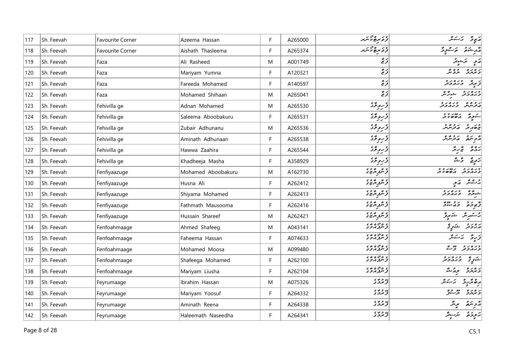| 117 | Sh. Feevah | <b>Favourite Corner</b> | Azeema Hassan      | F  | A265000 | د د موه نومبر<br>  د د سره نومبر                    | مَبِيحَ بَرَسَمْر                                 |
|-----|------------|-------------------------|--------------------|----|---------|-----------------------------------------------------|---------------------------------------------------|
| 118 | Sh. Feevah | <b>Favourite Corner</b> | Aishath Thasleema  | F  | A265374 | ې په ده <i>۹۵ مر</i><br>نو ځه بیو شر                | وأرشكتم وكسوفة                                    |
| 119 | Sh. Feevah | Faza                    | Ali Rasheed        | M  | A001749 | وًجَ                                                | كالمحي المخاطبون                                  |
| 120 | Sh. Feevah | Faza                    | Mariyam Yumna      | F  | A120321 | تریخ                                                | ر ه ر ه<br><del>و</del> بربرو<br>پرونٹر           |
| 121 | Sh. Feevah | Faza                    | Fareeda Mohamed    | F  | A140597 | ترتج                                                | تربید حده در د                                    |
| 122 | Sh. Feevah | Faza                    | Mohamed Shihaan    | M  | A265041 | ترتج                                                | و ر ه ر د<br>تر پر تر تر<br>ے تر شر               |
| 123 | Sh. Feevah | Fehivilla ge            | Adnan Mohamed      | M  | A265530 | ې ر <sub>حو</sub> څري<br>تر تر تر                   | و ره ر د<br>تر پر ژنر<br>ر ج پر ہ<br>ەر ئىرىئر    |
| 124 | Sh. Feevah | Fehivilla ge            | Saleema Aboobakuru | F  | A265531 | ۇر <sub>ەم</sub> ۇ ئە                               | 77777<br>سەرچ                                     |
| 125 | Sh. Feevah | Fehivilla ge            | Zubair Adhunanu    | M  | A265536 | ۇروڭۇ                                               | ىر تەرىپەرتەر<br>مەنبەر سر<br>ور متر<br>مح خور مر |
| 126 | Sh. Feevah | Fehivilla ge            | Aminath Adhunaan   | F  | A265538 | ۇروڭۇ                                               | پر دیگر پی<br>أرمز                                |
| 127 | Sh. Feevah | Fehivilla ge            | Hawwa Zaahira      | F  | A265544 | ۇروڭۇ                                               | برەپچ<br>ىتى سەتتىر                               |
| 128 | Sh. Feevah | Fehivilla ge            | Khadheeja Masha    | F  | A358929 | ۇروڭۇ                                               | رَسٍ وَحَدَّ                                      |
| 129 | Sh. Feevah | Fenfiyaazuge            | Mohamed Aboobakuru | M  | A162730 | ع عروج دي.<br> زينزپورتبن <sub>ک</sub>              | כנסנ כ נחנכר<br>קמתכת תםסטת                       |
| 130 | Sh. Feevah | Fenfiyaazuge            | Husna Ali          | F  | A262412 | ۇ شرىر ئىرى                                         | د صنگر پر پی <sub>م</sub>                         |
| 131 | Sh. Feevah | Fenfiyaazuge            | Shiyama Mohamed    | F  | A262413 | ۇ شرىر ئىرى                                         | و رە ر د<br>تر پروتر<br>شەدگر گر                  |
| 132 | Sh. Feevah | Fenfiyaazuge            | Fathmath Mausooma  | F  | A262416 | ئۇ شرىر ش <sup>ىرى</sup> ئ                          | و ده ده برد                                       |
| 133 | Sh. Feevah | Fenfiyaazuge            | Hussain Shareef    | M  | A262421 | ې ه <sub>رو</sub> پر دې<br>ز شر <sub>و</sub> تر پر  | چرىكىرىنى كەنگىرى                                 |
| 134 | Sh. Feevah | Fenfoahmaage            | Ahmed Shafeeg      | M  | A043141 | ، وه ه و و ،<br>توسرتی پرو د                        | رەرد ھۇرى<br>مەدىر ھۇر                            |
| 135 | Sh. Feevah | Fenfoahmaage            | Faheema Hassan     | F. | A074633 | ، ه ۵ ۵ و »<br>توسرتی پرو ت                         | أوَرِدَّ بَرَسَيْر                                |
| 136 | Sh. Feevah | Fenfoahmaage            | Mohamed Moosa      | M  | A099480 | ، ه ۵ ۵ و »<br>توسرتی پرو ت                         | ورەر دور                                          |
| 137 | Sh. Feevah | Fenfoahmaage            | Shafeega Mohamed   | F  | A262100 | ، وہ ہ و و ،<br>توسی <sub>ق</sub> بر <del>و</del> ی | شَرَرٍ تَحْرَ وَرَ وَرَ وَرَ                      |
| 138 | Sh. Feevah | Fenfoahmaage            | Mariyam Liusha     | F  | A262104 | ، وه ه و و ،<br>نوسرنۍ د د                          | وبردو وديد                                        |
| 139 | Sh. Feevah | Feyrumaage              | Ibrahim Hassan     | M  | A075326 | ، د و و د<br>تو مرتز د                              | ە ھەترىر <sup>ە</sup><br>برسەيىتىر                |
| 140 | Sh. Feevah | Feyrumaage              | Mariyam Yoosuf     | F  | A264332 | ، د و و د<br>تو مرتز د                              | ر ه ر ه<br>د بربر د<br>دد و ه                     |
| 141 | Sh. Feevah | Feyrumaage              | Aminath Reena      | F. | A264338 | په وي  په<br>  تو مرو  ۍ                            | أرمز<br>ىيرىتر                                    |
| 142 | Sh. Feevah | Feyrumaage              | Haleemath Naseedha | F  | A264341 | ړ، و و ،<br>تو مرتز ی                               | يَجِرْدَهُمْ - سَرَسِيثَرُ                        |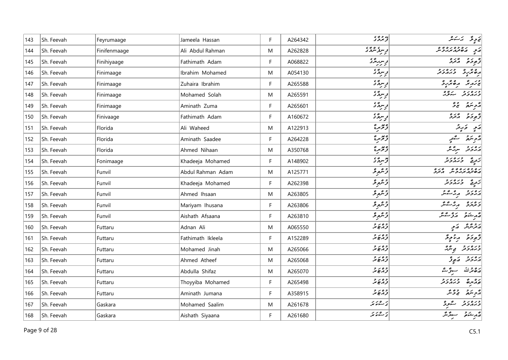| 143 | Sh. Feevah | Feyrumaage   | Jameela Hassan    | F  | A264342 | پے ح ی ی<br>  تو سرتر <sub>ک</sub> | لقاحي فلتمسك والمستكر                                       |
|-----|------------|--------------|-------------------|----|---------|------------------------------------|-------------------------------------------------------------|
| 144 | Sh. Feevah | Finifenmaage | Ali Abdul Rahman  | M  | A262828 | ار سرز مرد <del>ه</del>            |                                                             |
| 145 | Sh. Feevah | Finihiyaage  | Fathimath Adam    | F  | A068822 | او مدر پرچ<br><u>اس</u>            | وٌموِ رَمْ<br>پور ہ<br>مرمرو                                |
| 146 | Sh. Feevah | Finimaage    | Ibrahim Mohamed   | M  | A054130 | ار سرچ ی<br>م                      | و رە ر د<br><i>د بە</i> دىر<br>ە ھەترىرى<br>رەھىرىرى        |
| 147 | Sh. Feevah | Finimaage    | Zuhaira Ibrahim   | F  | A265588 | و سرچ <sup>ء</sup> ِ               | چ ئەمە پىچە<br>ئ<br>برە ئۆرۈ                                |
| 148 | Sh. Feevah | Finimaage    | Mohamed Solah     | M  | A265591 | وسردمى                             | ىبە ئۇر<br>و ر ه ر د<br>تر پر ژ تر                          |
| 149 | Sh. Feevah | Finimaage    | Aminath Zuma      | F  | A265601 | و سرچ <sup>ء</sup><br>سر           | ح تح<br>مح ت<br>أثر حريرة                                   |
| 150 | Sh. Feevah | Finivaage    | Fathimath Adam    | F  | A160672 | و سرچ ء<br>م                       | و مرد<br>المعرض<br>ەرگەر                                    |
| 151 | Sh. Feevah | Florida      | Ali Waheed        | M  | A122913 | وسيو په                            | أەكىيە ئەرىتىلى                                             |
| 152 | Sh. Feevah | Florida      | Aminath Saadee    | F  | A264228 | وبويدة                             | أأروسه<br>تھور<br>سنگھور                                    |
| 153 | Sh. Feevah | Florida      | Ahmed Nihaan      | M  | A350768 | د تر بر ؟                          | بر 2 د جر<br>مربر <del>5</del> مر<br>سربر میں<br>سر         |
| 154 | Sh. Feevah | Fonimaage    | Khadeeja Mohamed  | F  | A148902 | بر<br>تر سرچ <sup>ی</sup>          | و ر ه ر د<br>تر بر بر تر<br>تزمرچٌ                          |
| 155 | Sh. Feevah | Funvil       | Abdul Rahman Adam | M  | A125771 | ژیمو ژ                             | נס כס נס זים מנס<br>השנ <i>ות גיב</i> ית הנגב               |
| 156 | Sh. Feevah | Funvil       | Khadeeja Mohamed  | F  | A262398 | ۇمىھوقە                            | و ره ر و<br><i>د ټ</i> رگر<br>  تر تعریج<br>                |
| 157 | Sh. Feevah | Funvil       | Ahmed Ihsaan      | M  | A263805 | ومثروعه                            | أرور وروسمبر                                                |
| 158 | Sh. Feevah | Funvil       | Mariyam Ihusana   | F  | A263806 | ژىئر <sub>ى</sub> ر ژ              | و مره در عشر                                                |
| 159 | Sh. Feevah | Funvil       | Aishath Afsaana   | F. | A263810 | ۇ ئىرو ۋ                           | ە بەيدە بەيدە بىر                                           |
| 160 | Sh. Feevah | Futtaru      | Adnan Ali         | M  | A065550 | وه د ځ<br>تر منع تن                | ر د پرې کرمړ                                                |
| 161 | Sh. Feevah | Futtaru      | Fathimath Ikleela | F  | A152289 | وه ر د<br>زرج بر                   | ۇ بۇرۇ بەر قوقە                                             |
| 162 | Sh. Feevah | Futtaru      | Mohamed Jinah     | M  | A265066 | وه ر د<br>زرج بر                   | وره رو په عرص                                               |
| 163 | Sh. Feevah | Futtaru      | Ahmed Atheef      | M  | A265068 | و ه ر د<br>و د ج مر                | رەرد رەپى                                                   |
| 164 | Sh. Feevah | Futtaru      | Abdulla Shifaz    | M  | A265070 | و ه ء چ<br>تر ه ځا تنگ             | سەرتى شە<br>ەھەراللە                                        |
| 165 | Sh. Feevah | Futtaru      | Thoyyiba Mohamed  | F  | A265498 | وه ر د<br>زرج بر                   | و ر ه ر و<br><i>و ټ</i> رو تر<br>ر ه<br>جوړ <sub>مر</sub> ځ |
| 166 | Sh. Feevah | Futtaru      | Aminath Jumana    | F  | A358915 | وه ر د<br>زرج بر                   | أثر و سرد<br>ح ئۇ ئىگر                                      |
| 167 | Sh. Feevah | Gaskara      | Mohamed Saalim    | M  | A261678 | ى سەرىمىر                          | و ر ه ر د<br>تر پر ژ تر<br>سەّمەر                           |
| 168 | Sh. Feevah | Gaskara      | Aishath Siyaana   | F  | A261680 | ى سەرىمىر                          | ە ئەرىسىدە سىزگىنىش                                         |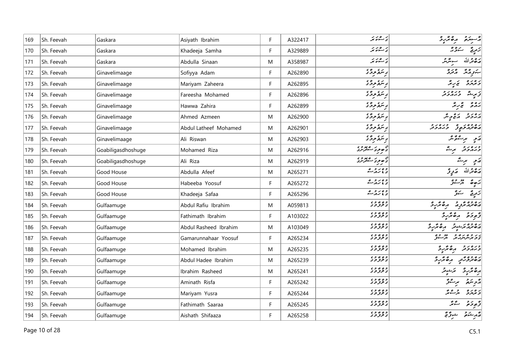| 169 | Sh. Feevah | Gaskara            | Asiyath Ibrahim       | F  | A322417 | ى سەرىمىر                                         | ەھ ترىر 3<br>أرميزه                                                                |
|-----|------------|--------------------|-----------------------|----|---------|---------------------------------------------------|------------------------------------------------------------------------------------|
| 170 | Sh. Feevah | Gaskara            | Khadeeja Samha        | F. | A329889 | ر 2،2 ئە                                          | ترَ ورِجٌ<br>سەۋىر                                                                 |
| 171 | Sh. Feevah | Gaskara            | Abdulla Sinaan        | M  | A358987 | ى سەئەتكە                                         | يەھ قراللە<br>سەمئرىتر                                                             |
| 172 | Sh. Feevah | Ginavelimaage      | Sofiyya Adam          | F  | A262890 | ى مىڭرىچە ئە                                      | په ره<br>درگر<br>يئوره پژ                                                          |
| 173 | Sh. Feevah | Ginavelimaage      | Mariyam Zaheera       | F  | A262895 | ى ئىرقى پەرى<br>ب                                 | دەرە ئەرىگە                                                                        |
| 174 | Sh. Feevah | Ginavelimaage      | Fareesha Mohamed      | F  | A262896 | ى مىڭ مۇرگە ئ                                     | و ره ر و<br>تر پر تر تر<br> تؤسيسةً                                                |
| 175 | Sh. Feevah | Ginavelimaage      | Hawwa Zahira          | F  | A262899 | ى ئىرقى پەرى<br>بە ئىرقى ئەر                      | برە ئەرىتى                                                                         |
| 176 | Sh. Feevah | Ginavelimaage      | Ahmed Azmeen          | M  | A262900 | ى <sub>ر</sub> ئىرقە ئە <sup>مى</sup>             | גפלב גם בית                                                                        |
| 177 | Sh. Feevah | Ginavelimaage      | Abdul Latheef Mohamed | M  | A262901 | ر بره مرد د <sup>ه</sup>                          | גפרפת כנסגר                                                                        |
| 178 | Sh. Feevah | Ginavelimaage      | Ali Riswan            | M  | A262903 | ى مىڭرىمىتى ئى                                    | ړې برخوش                                                                           |
| 179 | Sh. Feevah | Goabiligasdhoshuge | Mohamed Riza          | M  | A262916 | ج<br>تحریح پر صغیر و ی<br>تر بر                   | ورەرو برگ                                                                          |
| 180 | Sh. Feevah | Goabiligasdhoshuge | Ali Riza              | M  | A262919 | 0 در ۲۵ وره<br>د حود کستور                        | ړې برگ                                                                             |
| 181 | Sh. Feevah | Good House         | Abdulla Afeef         | M  | A265271 | د ه بر د ه<br>د ډېر ک                             | برە دالله پروپى                                                                    |
| 182 | Sh. Feevah | Good House         | Habeeba Yoosuf        | F  | A265272 | د ه بر د ه<br><sub>م</sub> ډ بر ک                 | $\begin{array}{cc} 0 & 2 & 2 \\ 2 & -2 & 0 \\ 3 & -2 & 0 \\ 2 & 3 & 2 \end{array}$ |
| 183 | Sh. Feevah | Good House         | Khadeeja Safaa        | F  | A265296 | د ه بر د ه<br>د ډېر ک                             | ترموقح<br>ستۇ                                                                      |
| 184 | Sh. Feevah | Gulfaamuge         | Abdul Rafiu Ibrahim   | M  | A059813 | د ه و و ء<br>د ترتو د د                           | ره وه و د<br>م <b>ه ه</b> رمرو م<br>ەرھەترىر <sup>ى</sup>                          |
| 185 | Sh. Feevah | Gulfaamuge         | Fathimath Ibrahim     | F. | A103022 | د ه و و ،<br>د ترتو تر د                          | ژوده مقتر                                                                          |
| 186 | Sh. Feevah | Gulfaamuge         | Abdul Rasheed Ibrahim | M  | A103049 | د ه و و ء<br>د ترتو د د                           | גם כם הייני היי היינים הייניים                                                     |
| 187 | Sh. Feevah | Gulfaamuge         | Gamarunnahaar Yoosuf  | F  | A265234 | د ه و و ،<br>د ترتو تر د                          | پر پر و. و. پر بر و.<br>تح <b>ر تر</b> سربر تر<br>ېز يەر                           |
| 188 | Sh. Feevah | Gulfaamuge         | Mohamed Ibrahim       | M  | A265235 | وه پوو ،<br>د تروگر د                             | כנסני משינים<br>בגהכת השיניב                                                       |
| 189 | Sh. Feevah | Gulfaamuge         | Abdul Hadee Ibrahim   | M  | A265239 | وه پو و ،<br>  <mark>ۍ نو</mark> ز و <sub>ک</sub> | برە ئۆرۈ<br>ر ه وه وير<br>د ه ترور تړ                                              |
| 190 | Sh. Feevah | Gulfaamuge         | Ibrahim Rasheed       | M  | A265241 | د ه و و ء<br>د ترتو د د                           | ەرھ ئ <sup>ۆ</sup> رۈ<br>ىمەھىر                                                    |
| 191 | Sh. Feevah | Gulfaamuge         | Aminath Risfa         | F  | A265242 | د ه و د د ،<br>د ترتر تر د                        | أثر دينهمج<br>ىرىشۇ                                                                |
| 192 | Sh. Feevah | Gulfaamuge         | Mariyam Yusra         | F  | A265244 | د ه و د د<br>د ترتر د د                           | ر ه ر ه<br><del>ر</del> بربرد<br>ىر ھەيجە                                          |
| 193 | Sh. Feevah | Gulfaamuge         | Fathimath Saaraa      | F. | A265245 | د ه و د د ،<br>د نروگرد د                         | سەمۇ<br>ۇ بوز ئە                                                                   |
| 194 | Sh. Feevah | Gulfaamuge         | Aishath Shifaaza      | F  | A265258 | د ه و و د<br>د ترتو تر د                          | وكرمشكم مشوقرة                                                                     |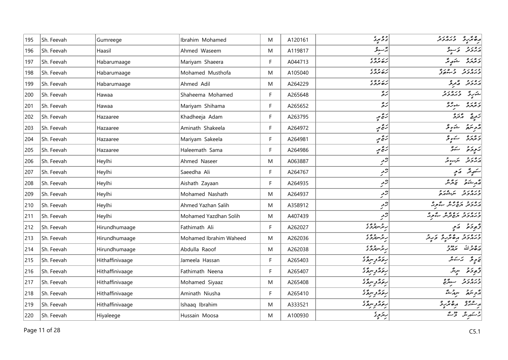| 195 | Sh. Feevah | Gumreege        | Ibrahim Mohamed        | M  | A120161 | وه<br>  د حر مړند                 | و ر ه ر و<br>تر پر پر تر<br>رەپزىر<br>س    |
|-----|------------|-----------------|------------------------|----|---------|-----------------------------------|--------------------------------------------|
| 196 | Sh. Feevah | Haasil          | Ahmed Waseem           | M  | A119817 | ر<br>پر سوپر                      |                                            |
| 197 | Sh. Feevah | Habarumaage     | Mariyam Shaeera        | F. | A044713 | ر ر د » ،<br>ره برو د             | رەرە شەرىر                                 |
| 198 | Sh. Feevah | Habarumaage     | Mohamed Musthofa       | M  | A105040 | ر ر د » ،<br>ره برو د             | د په دور<br>و ر ه ر د<br><i>و بر</i> پر تر |
| 199 | Sh. Feevah | Habarumaage     | Ahmed Adil             | M  | A264229 | ر ر د » ،<br>ره برو د             | رەر ئەربى                                  |
| 200 | Sh. Feevah | Hawaa           | Shaheema Mohamed       | F  | A265648 | رپچ                               | و رە ر د<br>تر پر تر تر<br>  شەرىر ئ       |
| 201 | Sh. Feevah | Hawaa           | Mariyam Shihama        | F  | A265652 | رپچ                               | ر ه ر ه<br><del>و</del> بربرو<br>شەرگە گ   |
| 202 | Sh. Feevah | Hazaaree        | Khadheeja Adam         | F  | A263795 | ئەتچ پىيە                         | ەرگەر<br>ترىرى<br>ئ                        |
| 203 | Sh. Feevah | Hazaaree        | Aminath Shakeela       | F  | A264972 | ئر پچ میر                         | ۇ ئەسكە ئەر                                |
| 204 | Sh. Feevah | Hazaaree        | Mariyam Sakeela        | F  | A264981 | ئەتچ پىر                          | ر ه ر ه<br>و بربرو<br>سەرىۋ                |
| 205 | Sh. Feevah | Hazaaree        | Haleemath Sama         | F  | A264986 | ئەتچ پىيە                         | ستریخ<br>برَجِرة و                         |
| 206 | Sh. Feevah | Heylhi          | Ahmed Naseer           | M  | A063887 | امير<br>——                        | ەرە ئەرە ئىسبە                             |
| 207 | Sh. Feevah | Heylhi          | Saeedha Ali            | F  | A264767 | ان<br>سنبر<br>—                   | سکھیدی کھاتی                               |
| 208 | Sh. Feevah | Heylhi          | Aishath Zayaan         | F  | A264935 | امي<br>سيم                        | مەر شەرق سى ئارلىر                         |
| 209 | Sh. Feevah | Heylhi          | Mohamed Nashath        | M  | A264937 | ار<br>سر<br>—                     | وره رو برشورو<br><i>و برو د</i> ر برشوره   |
| 210 | Sh. Feevah | Heylhi          | Ahmed Yazhan Salih     | M  | A358912 | ائى<br>سىر                        | رەر دېرە دەپ كەندى.<br>مەردىن مەيزىش سۇمەر |
| 211 | Sh. Feevah | Heylhi          | Mohamed Yazdhan Solih  | M  | A407439 | ائى<br>ج                          | ورەر د رەپەر<br>دىرمەدىر مەيزىر جۇير       |
| 212 | Sh. Feevah | Hirundhumaage   | Fathimath Ali          | F. | A262027 | ر پر سرچرۍ<br>بر <i>پر سرچر</i> ۍ | اقهوده الأمج                               |
| 213 | Sh. Feevah | Hirundhumaage   | Mohamed Ibrahim Waheed | M  | A262036 | ر پر سرپر دی                      |                                            |
| 214 | Sh. Feevah | Hirundhumaage   | Abdulla Raoof          | M  | A262038 | به تر سرچرۍ کا                    | مَدْهِ قَدْ اللّهِ مَحْمَدُو               |
| 215 | Sh. Feevah | Hithaffinivaage | Jameela Hassan         | F  | A265403 | ىرە دېۋىرە ئ <sup>ە</sup> ئ       | ت <sub>ە جو</sub> ى كەسكەر                 |
| 216 | Sh. Feevah | Hithaffinivaage | Fathimath Neena        | F  | A265407 | رەۋە بېرىدى<br>ب                  | قەم ئەس ئىس                                |
| 217 | Sh. Feevah | Hithaffinivaage | Mohamed Siyaaz         | M  | A265408 | رە دېر موركى<br>ر                 | وره رو ده<br>وبرود سهری                    |
| 218 | Sh. Feevah | Hithaffinivaage | Aminath Niusha         | F. | A265410 | رىرە بويىدۇ ئ                     | أأوسكو سيدشأ                               |
| 219 | Sh. Feevah | Hithaffinivaage | Ishaaq Ibrahim         | M  | A333521 | رېږو پېږي                         | ارجعيتي<br>ەرھەترىر <sup>ى</sup>           |
| 220 | Sh. Feevah | Hiyaleege       | Hussain Moosa          | M  | A100930 | ر پر پور<br>ر                     | برسكر متراميح المحر المتكر                 |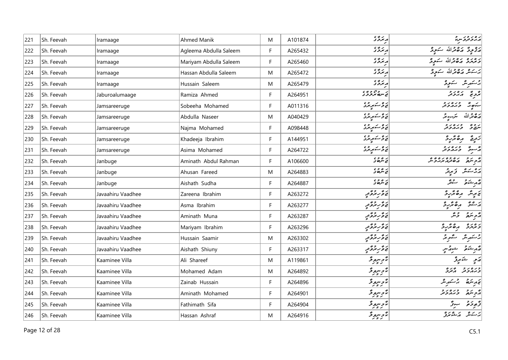| 221 | Sh. Feevah | Iramaage          | <b>Ahmed Manik</b>     | M  | A101874 | د برو ،<br>د برژ د             | پروژو سرچ                                         |
|-----|------------|-------------------|------------------------|----|---------|--------------------------------|---------------------------------------------------|
| 222 | Sh. Feevah | Iramaage          | Agleema Abdulla Saleem | F  | A265432 | و پروی                         | أروجة وكافدالله سوجة                              |
| 223 | Sh. Feevah | Iramaage          | Mariyam Abdulla Saleem | F. | A265460 | بر پرې                         | دەرە رەمزاللە سەرە                                |
| 224 | Sh. Feevah | Iramaage          | Hassan Abdulla Saleem  | M  | A265472 | ويزدى                          | بريده ره والله سكود                               |
| 225 | Sh. Feevah | Iramaage          | Hussain Saleem         | M  | A265479 | اربرية                         | يز سەر شەھ بەر ئەر                                |
| 226 | Sh. Feevah | Jaburoalumaage    | Ramiza Ahmed           | F  | A264951 | پر وہ وی ۽<br>  پئ سرھ بر وي   | ترویخ مرود و                                      |
| 227 | Sh. Feevah | Jamsareeruge      | Sobeeha Mohamed        | F  | A011316 | ئەۋسە يېرىرى<br>               | پژور دره د د                                      |
| 228 | Sh. Feevah | Jamsareeruge      | Abdulla Naseer         | M  | A040429 | پر <i>9 سے پر پر ج</i>         | مَدْهُ مَّدَاللَّهُ سَرَجِعَهُ                    |
| 229 | Sh. Feevah | Jamsareeruge      | Najma Mohamed          | F  | A098448 | ئەۋسە پرىرى                    | ىر و بە<br>سرچ تر<br>و ره ر د<br><i>د ب</i> رگرمر |
| 230 | Sh. Feevah | Jamsareeruge      | Khadeeja Ibrahim       | F  | A144951 | ئەۋسە يېرىرى<br>               | تَامِيعٌ مِنْ الْمَحْرِ وَ                        |
| 231 | Sh. Feevah | Jamsareeruge      | Asima Mohamed          | F. | A264722 | ئەۋسە پەيرى                    | و رە ر د<br><i>د بر</i> گرىز<br>رمسر              |
| 232 | Sh. Feevah | Janbuge           | Aminath Abdul Rahman   | F. | A106600 | ر ۵ ۶ ء<br>قع سرچ <sub>ک</sub> | ره وه ره ده.<br>په ه تر پر برگ<br>ړ ځې شرچ        |
| 233 | Sh. Feevah | Janbuge           | Ahusan Fareed          | M  | A264883 | ر ۵ ۶ ء<br>قع سر <i>ھ ی</i>    | پره په عربه تر مړينه                              |
| 234 | Sh. Feevah | Janbuge           | Aishath Sudha          | F  | A264887 | ر ه و ء<br>قع سرگان            | وگهر شوه در سورتر<br>درگر مسئور                   |
| 235 | Sh. Feevah | Javaahiru Vaadhee | Zareena Ibrahim        | F. | A263272 | ئەڭرىر ئەر                     | غېږېتىن مەھىتىر د                                 |
| 236 | Sh. Feevah | Javaahiru Vaadhee | Asma Ibrahim           | F  | A263277 | ئەقرىر ترقەمر                  | ە ھەمرىر 2<br>بەھەمرىر 2<br>رَ شرتر               |
| 237 | Sh. Feevah | Javaahiru Vaadhee | Aminath Muna           | F  | A263287 | ئے قرىر ترقى مىر               | ړٌ د سره د شر                                     |
| 238 | Sh. Feevah | Javaahiru Vaadhee | Mariyam Ibrahim        | F. | A263296 | ئے قریر ترقی میں               | במתכ תפתיק                                        |
| 239 | Sh. Feevah | Javaahiru Vaadhee | Hussain Saamir         | M  | A263302 | ئەقرىر قرقرىيە                 | يز سكر مثل المستجور محمد                          |
| 240 | Sh. Feevah | Javaahiru Vaadhee | Aishath Shiuny         | F  | A263317 | پر گرېرگە تېر                  | $rac{2}{3}$<br>$rac{4}{3}$<br>شور سر<br>سر        |
| 241 | Sh. Feevah | Kaaminee Villa    | Ali Shareef            | M  | A119861 | ر<br>مرسور محر<br>مرسم مر      | أەكىم ئىسكىرى                                     |
| 242 | Sh. Feevah | Kaaminee Villa    | Mohamed Adam           | M  | A264892 | مۇجەسىرى<br>سىر ئەس            | وره رو په ره<br><i>وبرو</i> ونړ م <i>ې</i> ترو    |
| 243 | Sh. Feevah | Kaaminee Villa    | Zainab Hussain         | F  | A264896 | مۇجەس <sub>ى</sub> رى<br>س     | تمريخ بمسكر مثر                                   |
| 244 | Sh. Feevah | Kaaminee Villa    | Aminath Mohamed        | F  | A264901 | نڈر میں دیگر<br>مزید م         | 21012 2124                                        |
| 245 | Sh. Feevah | Kaaminee Villa    | Fathimath Sifa         | F  | A264904 | نڈر میں پر<br>مزم              | قەبەدە سىرقە                                      |
| 246 | Sh. Feevah | Kaaminee Villa    | Hassan Ashraf          | M  | A264916 | ر پاڻو پيري په دي.<br>س        | برستره برعامره                                    |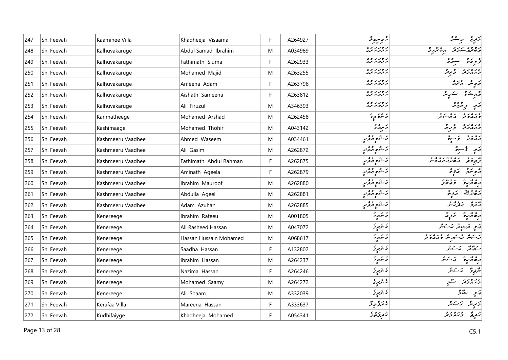| 247 | Sh. Feevah | Kaaminee Villa    | Khadheeja Visaama      | F           | A264927 | ا ت <sup>م</sup> حر سره محر<br>المس <u>ر مور</u> | تزمرقے ویسٹونخ                                                |
|-----|------------|-------------------|------------------------|-------------|---------|--------------------------------------------------|---------------------------------------------------------------|
| 248 | Sh. Feevah | Kalhuvakaruge     | Abdul Samad Ibrahim    | M           | A034989 | ر ور ر و ،<br>ما نره ما بود                      | 1020 117 0201                                                 |
| 249 | Sh. Feevah | Kalhuvakaruge     | Fathimath Siuma        | F           | A262933 | ر د ر ر د ،<br>با نده ما بود                     | $rac{2}{3}$ $rac{2}{3}$ $rac{2}{3}$                           |
| 250 | Sh. Feevah | Kalhuvakaruge     | Mohamed Majid          | M           | A263255 | ر ور ر و ،<br>ما نوء ما موی                      | ورەر د ئې تر                                                  |
| 251 | Sh. Feevah | Kalhuvakaruge     | Ameena Adam            | F           | A263796 | ر د ر ر د ،<br>ما نده ما موی                     | ړ په په پره                                                   |
| 252 | Sh. Feevah | Kalhuvakaruge     | Aishath Sameena        | F           | A263812 | ر ور ر د ،<br>ما نونو ما موی                     | و من ديگر ديگر<br>مريد ديگر                                   |
| 253 | Sh. Feevah | Kalhuvakaruge     | Ali Firuzul            | M           | A346393 | ر ور ر و ،<br>ما نوبو ما موی                     | أقهم ويرجى                                                    |
| 254 | Sh. Feevah | Kanmatheege       | Mohamed Arshad         | ${\sf M}$   | A262458 | ر ۵ ر می<br>ما مر <sub>کز مو</sub> ر             | ورەرو رەپرو<br><i>دىدە</i> وتر مەرشى                          |
| 255 | Sh. Feevah | Kashimaage        | Mohamed Thohir         | ${\sf M}$   | A043142 | ر<br>مأموقری                                     | وره د و ور                                                    |
| 256 | Sh. Feevah | Kashmeeru Vaadhee | Ahmed Waseem           | M           | A034461 | ئەشقۇ برۇ تېر                                    | $\frac{1}{2}$                                                 |
| 257 | Sh. Feevah | Kashmeeru Vaadhee | Ali Gasim              | M           | A262872 | ئەشقۇ برۇ تېر                                    | ەكىيە ئۇسىۋ                                                   |
| 258 | Sh. Feevah | Kashmeeru Vaadhee | Fathimath Abdul Rahman | F           | A262875 | ئەشھۇ برۇ تېر                                    | ره وه ره <i>و و</i><br>پره <i>تر پر پ</i> ر تر س<br>و څې پر د |
| 259 | Sh. Feevah | Kashmeeru Vaadhee | Aminath Ageela         | $\mathsf F$ | A262879 | ر<br>برڪو پروڻو                                  | أأرجع أأتوقح                                                  |
| 260 | Sh. Feevah | Kashmeeru Vaadhee | Ibrahim Mauroof        | ${\sf M}$   | A262880 | ئەشقۇ برۇ تېر                                    |                                                               |
| 261 | Sh. Feevah | Kashmeeru Vaadhee | Abdulla Ageel          | ${\sf M}$   | A262881 | ر<br>سن المستوفر مركز موسيق<br>مستقبل المستقبل   | ح صحرالله حريبي فر                                            |
| 262 | Sh. Feevah | Kashmeeru Vaadhee | Adam Azuhan            | M           | A262885 | ر<br>سن المستوسم مركز من                         | وره پروو و<br>م <i>حرو م</i> غر <i>ت</i> س                    |
| 263 | Sh. Feevah | Kenereege         | Ibrahim Rafeeu         | M           | A001805 | ع مگر پر <sup>ج</sup>                            | رە ئرىر ئىرىمى                                                |
| 264 | Sh. Feevah | Kenereege         | Ali Rasheed Hassan     | M           | A047072 | ع مثر پر <sup>ج</sup>                            | أەي الارجىلىقى كارىكەش                                        |
| 265 | Sh. Feevah | Kenereege         | Hassan Hussain Mohamed | M           | A068617 | ې مه پېړۍ<br>مرس                                 | ي کيمر جي کيمر د ده د و                                       |
| 266 | Sh. Feevah | Kenereege         | Saadha Hassan          | F           | A132802 | ې م <sub>حرمو</sub> ي<br>مړينې                   | سەر ئەسىر ئەسكەش                                              |
| 267 | Sh. Feevah | Kenereege         | Ibrahim Hassan         | ${\sf M}$   | A264237 | ى ئەرىرى<br>مامىرىمورى                           |                                                               |
| 268 | Sh. Feevah | Kenereege         | Nazima Hassan          | F           | A264246 | ع متر پر <sup>ج</sup>                            | <i>سَّمْوِدُ</i> يَاسَسْ                                      |
| 269 | Sh. Feevah | Kenereege         | Mohamed Saamy          | ${\sf M}$   | A264272 | ى<br>ئامىرىيەتى                                  | ورەرو گو                                                      |
| 270 | Sh. Feevah | Kenereege         | Ali Shaam              | ${\sf M}$   | A332039 | ع مگر پر <sup>ج</sup>                            | $rac{1}{2}$                                                   |
| 271 | Sh. Feevah | Kerafaa Villa     | Mareena Hassan         | F           | A333637 | اء ئرۇ <sub>ھر</sub> ۇ                           | كالمحامر مركب بركت مكر                                        |
| 272 | Sh. Feevah | Kudhifaiyge       | Khadheeja Mohamed      | F           | A054341 | ا تەمرى <i>ق ق</i>                               | زَمرِيحَ وَيَرَهُ وَ                                          |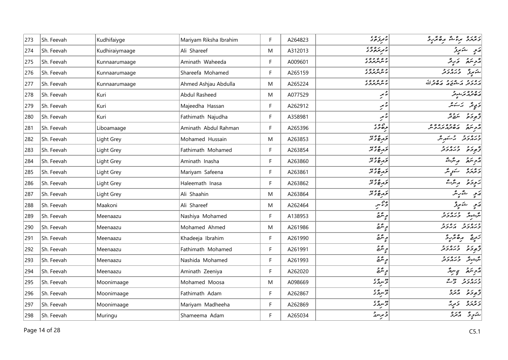| 273 | Sh. Feevah | Kudhifaiyge    | Mariyam Riksha Ibrahim | F  | A264823 | ژمروځ د                     | دەرە برىك رەئزرو                                                         |
|-----|------------|----------------|------------------------|----|---------|-----------------------------|--------------------------------------------------------------------------|
| 274 | Sh. Feevah | Kudhiraiymaage | Ali Shareef            | M  | A312013 | <br>  پېښمونځ د             | ړې خوړ ک                                                                 |
| 275 | Sh. Feevah | Kunnaarumaage  | Aminath Waheeda        | F  | A009601 | د ه و و و و<br>ما مرمربرو د | أأرسوه                                                                   |
| 276 | Sh. Feevah | Kunnaarumaage  | Shareefa Mohamed       | F  | A265159 | و ه په وه و<br>ما سرسرپرو د | و ره ر د<br><i>د ب</i> رگرفر<br>  شەموتر                                 |
| 277 | Sh. Feevah | Kunnaarumaage  | Ahmed Ashjau Abdulla   | M  | A265224 | و ه پر و د ،<br>د سرسربرو د | ره رو بر مرو بر و دالله                                                  |
| 278 | Sh. Feevah | Kuri           | Abdul Rasheed          | M  | A077529 | تتمبر                       | ره وه بر شوتر<br>د کافرو تر شوتر                                         |
| 279 | Sh. Feevah | Kuri           | Majeedha Hassan        | F  | A262912 | د<br>موس                    | كالتومي كالمسكس                                                          |
| 280 | Sh. Feevah | Kuri           | Fathimath Najudha      | F  | A358981 | د<br>ما مو                  | توالم والمحمد المتعادية                                                  |
| 281 | Sh. Feevah | Liboamaage     | Aminath Abdul Rahman   | F. | A265396 | جەمى                        | د ده ده ده ده ده و                                                       |
| 282 | Sh. Feevah | Light Grey     | Mohamed Hussain        | M  | A263853 | تر ده ه د .<br>تر د ه د بر  | ورەرو ورىدىگ                                                             |
| 283 | Sh. Feevah | Light Grey     | Fathimath Mohamed      | F  | A263854 | تزرع وميمر                  | و ره ر د<br><i>و پ</i> رو تر<br>وٌجوحه                                   |
| 284 | Sh. Feevah | Light Grey     | Aminath Inasha         | F  | A263860 | تر ده ۵ در<br>تر در ه د تر  | أأدبتكم وبترك                                                            |
| 285 | Sh. Feevah | Light Grey     | Mariyam Safeena        | F  | A263861 | ىر مەم»<br>مۇمرغۇ ئىر       | ر ه ر ه<br>د بربرو<br>سەر بىگە                                           |
| 286 | Sh. Feevah | Light Grey     | Haleemath Inasa        | F  | A263862 | تر ده ه د پر<br>تر د هو تر  | ر <i>زودة وبترت</i>                                                      |
| 287 | Sh. Feevah | Light Grey     | Ali Shaahin            | M  | A263864 | تر ده ه د .<br>تر د ه د تر  | ړې شرید<br>مخ                                                            |
| 288 | Sh. Feevah | Maakoni        | Ali Shareef            | M  | A262464 | و په هېد<br>د ت             | ر<br>د چې ستاننې                                                         |
| 289 | Sh. Feevah | Meenaazu       | Nashiya Mohamed        | F. | A138953 | جريثر                       | و ره ر د<br>تر پر پر تر<br>مترسفيوتر                                     |
| 290 | Sh. Feevah | Meenaazu       | Mohamed Ahmed          | M  | A261986 | جريثر                       | ورەر دەرد<br><i>ج</i> ىرمەتر مەركىر                                      |
| 291 | Sh. Feevah | Meenaazu       | Khadeeja Ibrahim       | F  | A261990 | حريثرنج                     | تزميعٌ و صحر و                                                           |
| 292 | Sh. Feevah | Meenaazu       | Fathimath Mohamed      | F. | A261991 | حريثرج                      | و رە ر د<br>تر پر تر تر<br>ۇ بوزىر                                       |
| 293 | Sh. Feevah | Meenaazu       | Nashida Mohamed        | F  | A261993 | جريثر                       | و ره ر و<br><i>و ټ</i> ه <del>و</del> تر<br>س <sup>ر</sup> گرىشوتىر<br>م |
| 294 | Sh. Feevah | Meenaazu       | Aminath Zeeniya        | F  | A262020 | حرمثر مح                    | أأزجر سكرة والمحاسرة المحمد                                              |
| 295 | Sh. Feevah | Moonimaage     | Mohamed Moosa          | M  | A098669 | دو په په<br>د سرچنې         | دومعه<br>و ر ه ر د<br>تر پر تر تر                                        |
| 296 | Sh. Feevah | Moonimaage     | Fathimath Adam         | F  | A262867 | חי<br>כ"יקב"ז               | ا تو بر در<br>ا<br>پر ہ<br>مرکز                                          |
| 297 | Sh. Feevah | Moonimaage     | Mariyam Madheeha       | F. | A262869 | דב ייקב ב                   | ر ه ر ه<br>د بربرد<br>ئە تور <sup>ى</sup> ر<br>ئە                        |
| 298 | Sh. Feevah | Muringu        | Shameema Adam          | F  | A265034 | وتمرسر                      | شَرِوِدٌ أَيْرُو                                                         |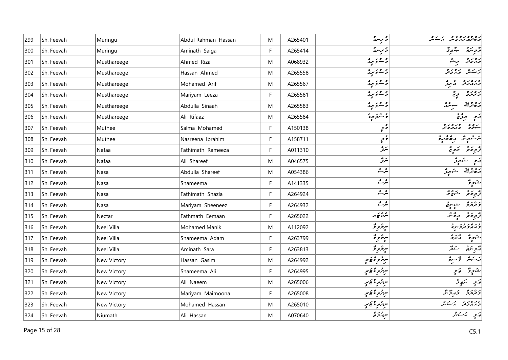| 299 | Sh. Feevah | Muringu       | Abdul Rahman Hassan | M         | A265401 | ومرسر                  | رە دەرەپ برىكى                                         |
|-----|------------|---------------|---------------------|-----------|---------|------------------------|--------------------------------------------------------|
| 300 | Sh. Feevah | Muringu       | Aminath Saiga       | F         | A265414 | وتمرسر                 | مەدبىرە بەلگە                                          |
| 301 | Sh. Feevah | Musthareege   | Ahmed Riza          | M         | A068932 | <br> 3سنعونبری         | رەرد برگ                                               |
| 302 | Sh. Feevah | Musthareege   | Hassan Ahmed        | M         | A265558 | د ه هم مړي<br>د سومبري | ير سەھ بەر ئەر ئىر                                     |
| 303 | Sh. Feevah | Musthareege   | Mohamed Arif        | M         | A265567 | ژ هو پرې<br>  ژ شو پرې | ورەر دىر                                               |
| 304 | Sh. Feevah | Musthareege   | Mariyam Leeza       | F         | A265581 | د هم پرې<br>د سوړس     | د بر پر موبح                                           |
| 305 | Sh. Feevah | Musthareege   | Abdulla Sinaah      | M         | A265583 | د همه بر <sub>ی</sub>  | ەھىراللە<br>سەمئرىر                                    |
| 306 | Sh. Feevah | Musthareege   | Ali Rifaaz          | ${\sf M}$ | A265584 | د صمر مر <sub>ي</sub>  | ړې بروځ<br>مړينې                                       |
| 307 | Sh. Feevah | Muthee        | Salma Mohamed       | F         | A150138 | ترمج                   | سەۋە<br>و ره ر د<br>تر <i>پر</i> وتر                   |
| 308 | Sh. Feevah | Muthee        | Nasreena Ibrahim    | F         | A158711 | و<br>حرمج              | برە ئۆرۈ<br>ىئرىش <sub>ىم</sub> ىدىگە                  |
| 309 | Sh. Feevah | Nafaa         | Fathimath Rameeza   | F.        | A011310 | سَرَدٌ                 | ۇ بوخ تو<br>ىمەحرىقى                                   |
| 310 | Sh. Feevah | Nafaa         | Ali Shareef         | M         | A046575 | سَرَدٌ                 | ړې خوړ و                                               |
| 311 | Sh. Feevah | Nasa          | Abdulla Shareef     | M         | A054386 | ىئرىشە                 | 205 مرالله<br>شەمرىژ                                   |
| 312 | Sh. Feevah | Nasa          | Shameema            | F         | A141335 | ىئرىئە                 | ے پارچ<br>مشاہ پارچ                                    |
| 313 | Sh. Feevah | Nasa          | Fathimath Shazla    | F         | A264924 | مترسته                 | و پر د<br>شەڭ گە                                       |
| 314 | Sh. Feevah | Nasa          | Mariyam Sheeneez    | F         | A264932 | ىئرىشە                 | ر ه ر ه<br><del>د</del> بربرگ<br>شوسرچ<br><u>==</u> == |
| 315 | Sh. Feevah | <b>Nectar</b> | Fathmath Eemaan     | F         | A265022 | ی <i>0 کے ب</i> ر      | ومجوحة مرمحيثر                                         |
| 316 | Sh. Feevah | Neel Villa    | Mohamed Manik       | M         | A112092 | سروگروگر               | כנסנכנק<br>כממכנקפית                                   |
| 317 | Sh. Feevah | Neel Villa    | Shameema Adam       | F         | A263799 | ىبرىۋىرگە              | پەر ە<br>مەنزۈ<br> شَدَرٍ رُّ                          |
| 318 | Sh. Feevah | Neel Villa    | Aminath Sara        | F         | A263813 | سرچە ئە                | ۇ يەسى ئىگە                                            |
| 319 | Sh. Feevah | New Victory   | Hassan Gasim        | M         | A264992 | مبرزه براء بر          | ير سكانكر التج سادى                                    |
| 320 | Sh. Feevah | New Victory   | Shameema Ali        | F         | A264995 | مبرقر ورثاء سير        | شكورة الكعي                                            |
| 321 | Sh. Feevah | New Victory   | Ali Naeem           | M         | A265006 | مبرقر عريقاتيم         | أەي سەرد                                               |
| 322 | Sh. Feevah | New Victory   | Mariyam Maimoona    | F         | A265008 | سرقر ورثاغ بر          | גם גם גרבית                                            |
| 323 | Sh. Feevah | New Victory   | Mohamed Hassan      | M         | A265010 | مبرقر عريقاتيم         | ورەرو ئەسەر                                            |
| 324 | Sh. Feevah | Niumath       | Ali Hassan          | M         | A070640 | سردره                  | أقذمي المرسكوهر                                        |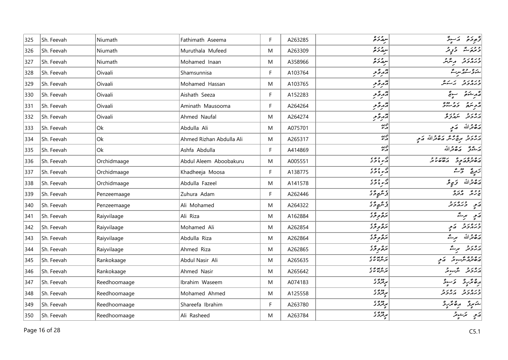| 325 | Sh. Feevah | Niumath      | Fathimath Aseema         | F  | A263285 | سردره                                                                                            | أوالمحافظ وأسبوهم                                |
|-----|------------|--------------|--------------------------|----|---------|--------------------------------------------------------------------------------------------------|--------------------------------------------------|
| 326 | Sh. Feevah | Niumath      | Muruthala Mufeed         | M  | A263309 | اسمەدە                                                                                           | و وړ ځه وړ تر                                    |
| 327 | Sh. Feevah | Niumath      | Mohamed Inaan            | M  | A358966 | سروره                                                                                            | כנסגב הייתול                                     |
| 328 | Sh. Feevah | Oivaali      | Shamsunnisa              | F  | A103764 | وترمرغر                                                                                          | أخوفر سوره سربه                                  |
| 329 | Sh. Feevah | Oivaali      | Mohamed Hassan           | M  | A103765 | ة مرءً مو                                                                                        | ورەرو ئەسەر                                      |
| 330 | Sh. Feevah | Oivaali      | Aishath Seeza            | F  | A152283 | بر<br>مرموعر                                                                                     | وگەرىشىمۇ سىدىئى                                 |
| 331 | Sh. Feevah | Oivaali      | Aminath Mausooma         | F. | A264264 | بز بر ځ مر<br>م                                                                                  | أروسي والمسترد                                   |
| 332 | Sh. Feevah | Oivaali      | Ahmed Naufal             | M  | A264274 | بزروع                                                                                            | رەر دىرەرە<br>مەردىس شمىرى                       |
| 333 | Sh. Feevah | Ok           | Abdulla Ali              | M  | A075701 | ەر<br>مەن                                                                                        | پر <b>ە</b> تراللە كەمچ                          |
| 334 | Sh. Feevah | lok          | Ahmed Rizhan Abdulla Ali | M  | A265317 | $\overline{\mathcal{L}}$                                                                         | رەرو برى ئىر مەدرالله مكر                        |
| 335 | Sh. Feevah | Ok           | Ashfa Abdulla            | F. | A414869 | $\mathcal{L}$                                                                                    | مَشْعَوَّ مَصْحَرَاللَّه                         |
| 336 | Sh. Feevah | Orchidmaage  | Abdul Aleem Aboobakuru   | M  | A005551 | $\begin{bmatrix} 1 & 1 & 1 & 1 \\ 1 & 1 & 1 & 1 \\ 1 & 1 & 1 & 1 \\ 1 & 1 & 1 & 1 \end{bmatrix}$ | גם כם גדר ברי בר                                 |
| 337 | Sh. Feevah | Orchidmaage  | Khadheeja Moosa          | F  | A138775 | ەر دەر<br>مەددى                                                                                  | أزبرج ويمتح                                      |
| 338 | Sh. Feevah | Orchidmaage  | Abdulla Fazeel           | M  | A141578 | ه وه و<br>د مو و و د                                                                             | 50 مرالله ترىي                                   |
| 339 | Sh. Feevah | Penzeemaage  | Zuhura Adam              | F  | A262446 | و هېږي ځ <sup>ي</sup>                                                                            | و و په په دره<br>پن کرمنگ مرکزو                  |
| 340 | Sh. Feevah | Penzeemaage  | Ali Mohamed              | M  | A264322 | ې مر <sub>مو</sub> په <sup>ه</sup>                                                               |                                                  |
| 341 | Sh. Feevah | Raiyvilaage  | Ali Riza                 | M  | A162884 | ر ه<br>بر <sub>گ</sub> ور پژی                                                                    | أركمني المرسكة                                   |
| 342 | Sh. Feevah | Raiyvilaage  | Mohamed Ali              | M  | A262854 | برە و ۋ ئ                                                                                        | ورەر دىر                                         |
| 343 | Sh. Feevah | Raiyvilaage  | Abdulla Riza             | M  | A262864 | ره<br>مر <sub>حوم</sub> ونړ                                                                      | <mark>بر22</mark> الله<br>سر میگر                |
| 344 | Sh. Feevah | Raiyvilaage  | Ahmed Riza               | M  | A262865 | ر ه<br>برگوموڅر                                                                                  | رەرو برگ                                         |
| 345 | Sh. Feevah | Rankokaage   | Abdul Nasir Ali          | M  | A265635 | ر ٥ پر <u>دی</u><br>بر سربر رک                                                                   | גם כם מהיות הת                                   |
| 346 | Sh. Feevah | Rankokaage   | Ahmed Nasir              | M  | A265642 | ر ٥ پر <i>٤ ٥</i><br>بر سربر ر                                                                   | رەرو شەر                                         |
| 347 | Sh. Feevah | Reedhoomaage | Ibrahim Waseem           | M  | A074183 | ود در د<br>مونترنژ د                                                                             |                                                  |
| 348 | Sh. Feevah | Reedhoomaage | Mohamed Ahmed            | M  | A125558 | ود د د<br>مړندگر د                                                                               | ورەر دەردە<br><i>دى</i> رمەنز <mark>م</mark> ىرى |
| 349 | Sh. Feevah | Reedhoomaage | Shareefa Ibrahim         | F. | A263780 | ود در د<br>مونترنژ د                                                                             | ىشەمبەرىگە<br>ئە<br>ەرھەترىرى<br>رەھىترىرى       |
| 350 | Sh. Feevah | Reedhoomaage | Ali Rasheed              | M  | A263784 | دده و<br>موترژ و                                                                                 | كالمح المخاطر وكالمحر                            |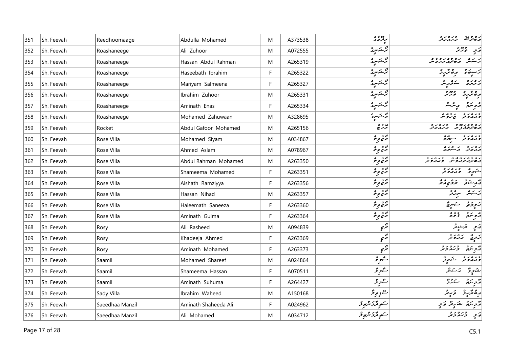| 351 | Sh. Feevah | Reedhoomaage    | Abdulla Mohamed      | M  | A373538 | دوره و<br>موترو و                 | ەھەتراللە<br>و ره ر و<br><i>د ب</i> رگرفر                                                                                |
|-----|------------|-----------------|----------------------|----|---------|-----------------------------------|--------------------------------------------------------------------------------------------------------------------------|
| 352 | Sh. Feevah | Roashaneege     | Ali Zuhoor           | M  | A072555 | ترىشەسرى                          | پر دور د                                                                                                                 |
| 353 | Sh. Feevah | Roashaneege     | Hassan Abdul Rahman  | M  | A265319 | ترڪسري<br>ترڪسپريز                | ر ده ده ده ده ده و                                                                                                       |
| 354 | Sh. Feevah | Roashaneege     | Haseebath Ibrahim    | F. | A265322 | ە<br>ئىرىشەس <sub>ى</sub> رى      | دە ئەرىج<br>برسوءة                                                                                                       |
| 355 | Sh. Feevah | Roashaneege     | Mariyam Salmeena     | F. | A265327 | م<br>ترشه سره<br>په               | ر ه ر ه<br><del>و</del> بوبرو<br>سەۋى <sub>چە</sub> ئىگە                                                                 |
| 356 | Sh. Feevah | Roashaneege     | Ibrahim Zuhoor       | M  | A265331 | ترىشەسرى                          | و وو و<br>خو <i>م</i> ر مو<br>ەرھەتمەر <i>ۋ</i>                                                                          |
| 357 | Sh. Feevah | Roashaneege     | Aminath Enas         | F  | A265334 | ترىشەسرىگە                        | أمجر سنتر مريتر شريب                                                                                                     |
| 358 | Sh. Feevah | Roashaneege     | Mohamed Zahuwaan     | Μ  | A328695 | مرڪسري<br>مرڪس                    | ورەرو روپەر                                                                                                              |
| 359 | Sh. Feevah | Rocket          | Abdul Gafoor Mohamed | M  | A265156 | بری<br>تر را ھ                    | ر ه و ه پر دو د و پر ه ر و<br>پرهنرمرفر مر کر کر کر کر کر                                                                |
| 360 | Sh. Feevah | Rose Villa      | Mohamed Siyam        | M  | A034867 | ە ە ھ<br>ئىرىج ھ <sub>ۇ</sub> قخە | כנים ניבים לאוריים ביותרים<br>קמינות ביותריים                                                                            |
| 361 | Sh. Feevah | Rose Villa      | Ahmed Aslam          | M  | A078967 | ە ە ھ<br>ئىرىج ھ <sub>ۇ</sub> قخە | رەرد رەرە                                                                                                                |
| 362 | Sh. Feevah | Rose Villa      | Abdul Rahman Mohamed | M  | A263350 | ە ە ھ <sub>ە</sub> قە             | ره وه ره ده مدر و در ور<br>پره تربر بربر تر بر تر تر                                                                     |
| 363 | Sh. Feevah | Rose Villa      | Shameema Mohamed     | F. | A263351 | ە ە ھ<br>ئىرىج ھ <sub>ۇ</sub> قىر | المنورة ورورو                                                                                                            |
| 364 | Sh. Feevah | Rose Villa      | Aishath Ramziyya     | F. | A263356 | ە ە<br>ئىرىنى ھ <sub>ە</sub> مۇ   | ومرشوم بروبور                                                                                                            |
| 365 | Sh. Feevah | Rose Villa      | Hassan Nihad         | Μ  | A263357 | ە ەھ<br>ئىرىنى ھ <sub>ە</sub> مۇ  | پرستمبر سرچمر                                                                                                            |
| 366 | Sh. Feevah | Rose Villa      | Haleemath Saneeza    | F  | A263360 | ترج <sub>حر</sub> مَّة<br>        |                                                                                                                          |
| 367 | Sh. Feevah | Rose Villa      | Aminath Gulma        | F. | A263364 | ە ە ھ<br>ئىرىج ھ <sub>ر</sub> ىڅە | أأدمره ووو                                                                                                               |
| 368 | Sh. Feevah | Rosy            | Ali Rasheed          | M  | A094839 | حدمج                              | أركموا المركبونر                                                                                                         |
| 369 | Sh. Feevah | Rosy            | Khadeeja Ahmed       | F  | A263369 | تعريمي                            | برورد<br>ئرتورچ<br>م                                                                                                     |
| 370 | Sh. Feevah | Rosy            | Aminath Mohamed      | F. | A263373 | لثميمي                            | أأدبره<br>و ره ر و<br>تر پر ژمر                                                                                          |
| 371 | Sh. Feevah | Saamil          | Mohamed Shareef      | M  | A024864 | سەّرِ ۋ                           | ورەرو شىرو                                                                                                               |
| 372 | Sh. Feevah | Saamil          | Shameema Hassan      | F  | A070511 | سەر بۇ                            | $\begin{array}{ccc} \hline \rule{0pt}{2.2ex} & \circ & \circ \\ \hline \rule{0pt}{2.2ex} & \circ & \circ \\ \end{array}$ |
| 373 | Sh. Feevah | Saamil          | Aminath Suhuma       | F  | A264427 | سەمەبە                            | ړ ده ده ده.                                                                                                              |
| 374 | Sh. Feevah | Sady Villa      | Ibrahim Waheed       | M  | A150168 | ىئە دەرىگە<br>مەسىر               | رە ئرىر ئىرىر                                                                                                            |
| 375 | Sh. Feevah | Saeedhaa Manzil | Aminath Shaheeda Ali | F  | A024962 | سەر قرىر ش <sub>ىنى</sub> ئى      | أأدمنغ لتكرش أكمع                                                                                                        |
| 376 | Sh. Feevah | Saeedhaa Manzil | Ali Mohamed          | M  | A034712 | سەر ئەڭرىكىمى بىر                 | ر دره در در                                                                                                              |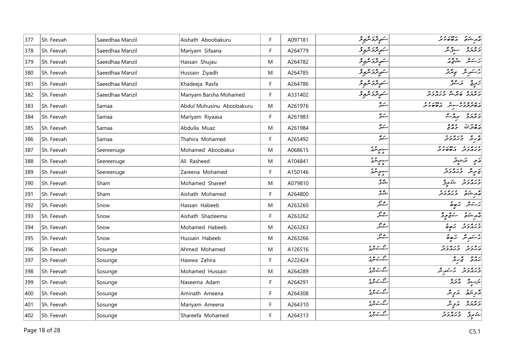| 377 | Sh. Feevah | Saeedhaa Manzil | Aishath Aboobakuru        | F.          | A097181 | سەر ئەر ئەسى بۇ              | 77/77/7<br>انگرېز شو <sub>م</sub> و<br>سر                                                                                                                                                                                        |
|-----|------------|-----------------|---------------------------|-------------|---------|------------------------------|----------------------------------------------------------------------------------------------------------------------------------------------------------------------------------------------------------------------------------|
| 378 | Sh. Feevah | Saeedhaa Manzil | Mariyam Sifaana           | $\mathsf F$ | A264779 | سەر قرىر ش <sub>ىن</sub> بۇ  | ئەتەر ۋ<br>سىۋىتر                                                                                                                                                                                                                |
| 379 | Sh. Feevah | Saeedhaa Manzil | Hassan Shujau             | M           | A264782 | سىمەمۇر ئىشى بى              | شتريخ ور<br>برسەيىتە                                                                                                                                                                                                             |
| 380 | Sh. Feevah | Saeedhaa Manzil | Hussain Ziyadh            | M           | A264785 | سەر ئەڭرىر ئەر بى            | جر سکھر مگر ہو ہے جا پر جنگ کر کھر کر کھر کر کھر ان کے مکان کے بات کے بات کے بات کے بات کے بات کے بات کے بات ک<br>مرید کا کہنا ہے کہ اس کے بات کے بات کے بات کے بات کے بات کے بات کے بات کے بات کے بات کے بات کے بات کے بات کے ب |
| 381 | Sh. Feevah | Saeedhaa Manzil | Khadeeja Rasfa            | F           | A264786 | سەر قرىر قىمى بى             | زَمِرِةً - بَرَّ–ْتَرُّ                                                                                                                                                                                                          |
| 382 | Sh. Feevah | Saeedhaa Manzil | Mariyam Barsha Mohamed    | F           | A331402 | سەر ئەردىسى بىر              | ره ره ده ده دره رو<br>و بربرو ځېر شه و بربرونر                                                                                                                                                                                   |
| 383 | Sh. Feevah | Samaa           | Abdul Muhusinu Aboobakuru | M           | A261976 | سەۋ                          | נסכסכם כדיכריכ<br>הסתיככה יית הססטה                                                                                                                                                                                              |
| 384 | Sh. Feevah | Samaa           | Mariyam Riyaasa           | F           | A261983 | سەۋ                          | رەرە پەرگ                                                                                                                                                                                                                        |
| 385 | Sh. Feevah | Samaa           | Abdulla Muaz              | M           | A261984 | سەنى                         | و پر ہ<br>حرمہ م<br>ەھىراللە                                                                                                                                                                                                     |
| 386 | Sh. Feevah | Samaa           | Thahira Mohamed           | F           | A265492 | سەنى                         | ه دره دره د                                                                                                                                                                                                                      |
| 387 | Sh. Feevah | Seereenuge      | Mohamed Aboobakur         | M           | A068615 | سەمەرىرى<br>ئۆلۈ             | כנסנכ נחנכב<br>כגתכת תם שית                                                                                                                                                                                                      |
| 388 | Sh. Feevah | Seereenuge      | Ali Rasheed               | M           | A104841 | ا سومبر چړي.<br><u>په په</u> | أوكمني المخرشوقر                                                                                                                                                                                                                 |
| 389 | Sh. Feevah | Seereenuge      | Zareena Mohamed           | $\mathsf F$ | A150146 | اب ویر پرچ<br>انستان پیشنگ   | ) پر شهر در در د                                                                                                                                                                                                                 |
| 390 | Sh. Feevah | Sham            | Mohamed Shareef           | M           | A079810 | ىشۇر                         | دره د د سکه دیگر                                                                                                                                                                                                                 |
| 391 | Sh. Feevah | Sham            | Aishath Mohamed           | F           | A264800 | شەۋ                          | أشهر وره در                                                                                                                                                                                                                      |
| 392 | Sh. Feevah | Snow            | Hassan Habeeb             | M           | A263260 | سەيىر                        | يُرَ سَوَسَى مِنْ مِنْ مِنْ                                                                                                                                                                                                      |
| 393 | Sh. Feevah | Snow            | Aishath Shazleema         | F           | A263262 | سەيىر                        | ۇرمۇق سەھرىم                                                                                                                                                                                                                     |
| 394 | Sh. Feevah | Snow            | Mohamed Habeeb            | M           | A263263 | سەيىر                        | 2012 2017                                                                                                                                                                                                                        |
| 395 | Sh. Feevah | Snow            | Hussain Habeeb            | M           | A263266 | سەبىر                        | جاسكور محركة وكالمحافة                                                                                                                                                                                                           |
| 396 | Sh. Feevah | Sosunge         | Ahmed Mohamed             | M           | A126516 | <u>مى ئەيتى ي</u>            | و رە ر د<br><i>د بر</i> گرىر<br>ر ەر د<br>م.روتر                                                                                                                                                                                 |
| 397 | Sh. Feevah | Sosunge         | Hawwa Zahira              | F           | A222424 | <u>مریرہ پر</u>              | برە ئەرىتە                                                                                                                                                                                                                       |
| 398 | Sh. Feevah | Sosunge         | Mohamed Hussain           | M           | A264289 | <u>مى ئەيرى</u>              | ورەرو ورىدىگ                                                                                                                                                                                                                     |
| 399 | Sh. Feevah | Sosunge         | Naseema Adam              | F           | A264291 | <u>مى ئەيدى</u>              | ير په په دره<br>سرپ                                                                                                                                                                                                              |
| 400 | Sh. Feevah | Sosunge         | Aminath Ameena            | F           | A264308 | <u>مى ئەيتى ي</u>            | أأترجع أرتبائه                                                                                                                                                                                                                   |
| 401 | Sh. Feevah | Sosunge         | Mariyam Ameena            | F.          | A264310 | <u>مى ئەيرو ،</u>            | ر ه ر ه<br>د <del>ب</del> ربرد<br>ړې پر                                                                                                                                                                                          |
| 402 | Sh. Feevah | Sosunge         | Shareefa Mohamed          | F           | A264313 | <u>م</u> مەيدى               | شمېر ژبره د د                                                                                                                                                                                                                    |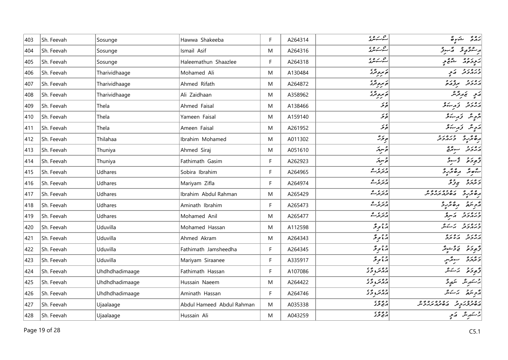| 403 | Sh. Feevah | Sosunge        | Hawwa Shakeeba            | F  | A264314 | <u>مى ئەيتى ي</u>           | برەپچ<br>شەرەت                                                        |
|-----|------------|----------------|---------------------------|----|---------|-----------------------------|-----------------------------------------------------------------------|
| 404 | Sh. Feevah | Sosunge        | Ismail Asif               | M  | A264316 | تنوسه ويمح                  | وسنتورو<br>ۇسبو                                                       |
| 405 | Sh. Feevah | Sosunge        | Haleemathun Shaazlee      | F  | A264318 | <u>م ئەيدى</u>              | پر پوځو ه<br> <br>مشكامح                                              |
| 406 | Sh. Feevah | Tharividhaage  | Mohamed Ali               | M  | A130484 | ه مر <sub>حو</sub> تر د     | وره رو<br>د <i>پرونډ</i> کړې                                          |
| 407 | Sh. Feevah | Tharividhaage  | Ahmed Rifath              | M  | A264872 |                             | נים ניכים ביוריים.<br>הגבה ייניהיים                                   |
| 408 | Sh. Feevah | Tharividhaage  | Ali Zaidhaan              | M  | A358962 | ړ<br>حومرو تر د             | ە ئەرەئىر                                                             |
| 409 | Sh. Feevah | Thela          | Ahmed Faisal              | M  | A138466 | ى<br>مىخر                   | أرور وكربكو                                                           |
| 410 | Sh. Feevah | Thela          | Yameen Faisal             | M  | A159140 | ء<br>حوڪر                   | أدويد أورجو                                                           |
| 411 | Sh. Feevah | Thela          | Ameen Faisal              | M  | A261952 | ى<br>مىخر                   | پەچىش ئەربىكى                                                         |
| 412 | Sh. Feevah | Thilahaa       | Ibrahim Mohamed           | M  | A011302 | حويخرجح                     | ە ھەترىر <sup>ە</sup><br>و ر ه ر و<br>تر پر تر تر                     |
| 413 | Sh. Feevah | Thuniya        | Ahmed Siraj               | M  | A051610 | قحم سرمر                    | أرەر ئەرسىمى                                                          |
| 414 | Sh. Feevah | Thuniya        | Fathimath Gasim           | F  | A262923 | قحرسرتر                     | تۇسىۋ<br>ۇ بوخ <sup>ى</sup>                                           |
| 415 | Sh. Feevah | Udhares        | Sobira Ibrahim            | F  | A264965 | د ر ، م<br>مرتد بر م        | ەھ ئۈرۈ<br>بڈھ پڑ                                                     |
| 416 | Sh. Feevah | Udhares        | Mariyam Zifla             | F  | A264974 | د ري ھ<br>مرمر سگ           | رەرە بەرتى                                                            |
| 417 | Sh. Feevah | Udhares        | Ibrahim Abdul Rahman      | M  | A265429 | د ر ، م<br>مرمرسه           | ره وه ره ۶ ه<br>پره تربر تر تر<br>ە ھېڭرىر<br>بر ھېڭرىرى              |
| 418 | Sh. Feevah | Udhares        | Aminath Ibrahim           | F  | A265473 | جەئە يەھ<br>مەنىرىك         | أروبترة<br>ەرھەترىر <sup>9</sup>                                      |
| 419 | Sh. Feevah | Udhares        | Mohamed Anil              | M  | A265477 | د ر ، م<br>مرتد بر م        | כנסנכ היית                                                            |
| 420 | Sh. Feevah | Uduvilla       | Mohamed Hassan            | M  | A112598 | ړ دې ځه                     | و ره ر و<br><i>و پر</i> و تر                                          |
| 421 | Sh. Feevah | Uduvilla       | Ahmed Akram               | M  | A264343 | وديموقر                     | גפגב גםגם<br>הגבע העינב                                               |
| 422 | Sh. Feevah | Uduvilla       | Fathimath Jamsheedha      | F. | A264345 | وجمع ومحر                   | و دو نور و                                                            |
| 423 | Sh. Feevah | Uduvilla       | Mariyam Siraanee          | F. | A335917 | لروموقه                     | رەرە سەگىر                                                            |
| 424 | Sh. Feevah | Uhdhdhadimaage | Fathimath Hassan          | F  | A107086 | وه در په د                  | ۇيوخۇ بەسكىر                                                          |
| 425 | Sh. Feevah | Uhdhdhadimaage | Hussain Naeem             | M  | A264422 | وه و په وي<br>مرمر و و د    | جاسكمر شكرا الكريدة                                                   |
| 426 | Sh. Feevah | Uhdhdhadimaage | Aminath Hassan            | F  | A264746 | وه بر په په<br>پروتوره تر پ | مەمەسىم ئەسكىش                                                        |
| 427 | Sh. Feevah | Ujaalaage      | Abdul Hameed Abdul Rahman | M  | A035338 | و ۵ ۵ ر<br>پر تع مر و       | ג ס כ ס ג כ ב ג ס כ ס ג ס ג ס<br>ג ס تر כ ג כ تر ג ה ס تر ג ד ג ג כ س |
| 428 | Sh. Feevah | Ujaalaage      | Hussain Ali               | M  | A043259 | و ۵ ۵ م<br>  در قع محر ی    | يز سكهر شركت مكتبر                                                    |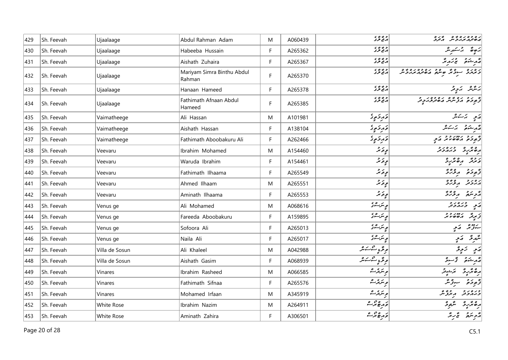| 429 | Sh. Feevah   | Ujaalaage         | Abdul Rahman Adam                    | M | A060439 | و ۵ ۵ و<br>پر قع مو ی                                                    | גם כם גם בים הגם<br>השנ <i>ות גיב</i> ית הנקב        |
|-----|--------------|-------------------|--------------------------------------|---|---------|--------------------------------------------------------------------------|------------------------------------------------------|
| 430 | Sh. Feevah   | Ujaalaage         | Habeeba Hussain                      | F | A265362 | و په پ<br>  پر بح نو ی                                                   | بموة بمسرهر                                          |
| 431 | Sh. Feevah   | Ujaalaage         | Aishath Zuhaira                      | F | A265367 | پژنژ پر پر                                                               | ومرشو ومركز                                          |
| 432 | Sh. Feevah   | Ujaalaage         | Mariyam Simra Binthu Abdul<br>Rahman | F | A265370 | و ۵ ۵ م<br>  در ق مر د                                                   | ת סנס סני סר נסרסנסנס<br>המתה יירא קיינת גשלנג איבית |
| 433 | Sh. Feevah   | Ujaalaage         | Hanaan Hameed                        | F | A265378 | پژنژ پر پر                                                               | پر شرقر   پر تر قر                                   |
| 434 | Sh. Feevah   | Ujaalaage         | Fathimath Afnaan Abdul<br>Hameed     | F | A265385 | و ۵ ۵ م<br>  در قری                                                      | و د د ده وه ده ده در د                               |
| 435 | Sh. Feevah   | Vaimatheege       | Ali Hassan                           | M | A101981 | ئەر ئەم <sub>ۇ</sub> ئ                                                   | أەيج برسكىش                                          |
| 436 | Sh. Feevah   | Vaimatheege       | Aishath Hassan                       | F | A138104 | ر<br>د مرځ مونه                                                          | گەرشۇ ئەسكىر                                         |
| 437 | Sh. Feevah   | Vaimatheege       | Fathimath Aboobakuru Ali             | F | A262466 | ر<br>وګړو <sub>مو</sub> ر                                                | 32000 1 2000 x                                       |
| 438 | Sh. Feevah   | Veevaru           | Ibrahim Mohamed                      | M | A154460 | عرو تمر                                                                  | ת היי כלחבת                                          |
| 439 | Sh. Feevah   | Veevaru           | Waruda Ibrahim                       | F | A154461 | حە ئەتمە<br>ئە                                                           | و برقر مەمگرىز                                       |
| 440 | Sh. Feevah   | Veevaru           | Fathimath Ilhaama                    | F | A265549 | موحد تمر                                                                 | أزجرخا وورو                                          |
| 441 | Sh. Feevah   | Veevaru           | Ahmed Ilhaam                         | M | A265551 | عريجه                                                                    | גםגב הכביב                                           |
| 442 | Sh. Feevah   | Veevaru           | Aminath Ilhaama                      | F | A265553 | حە ئەتر<br>سى                                                            | أأزويتهم وبحرجة                                      |
| 443 | Sh. Feevah   | Venus ge          | Ali Mohamed                          | M | A068616 | ويترسفونج                                                                | أثمر وره رد                                          |
| 444 | Sh. Feevah   | Venus ge          | Fareeda Aboobakuru                   | F | A159895 | ويترسفو                                                                  | 77777<br>  توسير تمر                                 |
| 445 | Sh. Feevah   | Venus ge          | Sofoora Ali                          | F | A265013 | <sub>حي</sub> سكر صحيحه                                                  | ىر دەپر<br>سىزىرىگە<br>ەتىر                          |
| 446 | Sh. Feevah   | Venus ge          | Naila Ali                            | F | A265017 | وپتر کشو ځ                                                               | شرېځو خو                                             |
| 447 | Sh. Feevah   | Villa de Sosun    | Ali Khaleel                          | M | A042988 | ە ئۇ يەشكەنگە<br>كىرى ئىسكەنگەر                                          | ړې زېږو                                              |
| 448 | Sh. Feevah   | Villa de Sosun    | Aishath Gasim                        | F | A068939 | ەر قەيدىن كەنگەنلەر<br>كەنجى يەنگەنلىر                                   | ۇرمۇم ئېرو                                           |
| 449 | Sh. Feevah   | <b>Vinares</b>    | Ibrahim Rasheed                      | M | A066585 | <sub>عب</sub> سَر پُر ک                                                  | دەندىر<br>د<br>ىمەسىيەتىر<br>ئ                       |
| 450 | l Sh. Feevah | Vinares           | Fathimath Sifnaa                     | F | A265576 | ە ئىرىزىشە                                                               | ۇ بۇ ئەرەپ بىرە بىر                                  |
| 451 | Sh. Feevah   | Vinares           | Mohamed Irfaan                       | M | A345919 | ە ئىر ئۈرگە                                                              | ورەرد دوم<br><i>دېدم</i> وتر م <i>بر</i> ۇس          |
| 452 | Sh. Feevah   | <b>White Rose</b> | Ibrahim Nazim                        | M | A264911 | لحرم وعنت                                                                | ە ھەترىرى<br>رەھىرىرى<br>متزوجه                      |
| 453 | Sh. Feevah   | White Rose        | Aminath Zahira                       | F | A306501 | $\begin{array}{c c} \hline 0 & 0 & 0 \\ 0 & 0 & 0 \\ \hline \end{array}$ | أأروسكو المجريم                                      |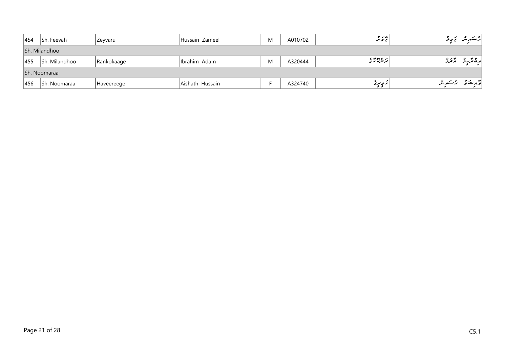| $ 454\rangle$ | Sh. Feevah    | Zeyvaru    | Hussain Zameel  | M | A010702 | پی پر حمہ                |                  | 2سكەر مىگە ئىچ ئوقى |
|---------------|---------------|------------|-----------------|---|---------|--------------------------|------------------|---------------------|
|               | Sh. Milandhoo |            |                 |   |         |                          |                  |                     |
| 455           | Sh. Milandhoo | Rankokaage | Ibrahim Adam    | M | A320444 | پر ۱۵ پر <sup>پر</sup> ی | ەترىۋ            | ا دەنىزىر ق         |
|               | Sh. Noomaraa  |            |                 |   |         |                          |                  |                     |
| 456           | ISh. Noomaraa | Haveereege | Aishath Hussain |   | A324740 | ترحي سرتمه               | لەر شوي بر سەر س |                     |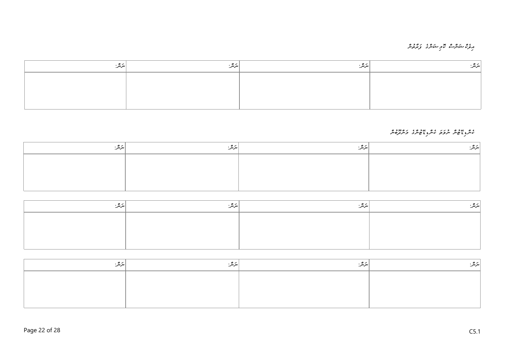## *w7qAn8m? sCw7mRo>u; wEw7mRw;sBo<*

| ' مرمر | 'يئرىثر: |
|--------|----------|
|        |          |
|        |          |
|        |          |

## *w7q9r@w7m> sCw7qHtFoFw7s; mAm=q7 w7qHtFoFw7s;*

| ىر تە | $\mathcal{O} \times$<br>$\sim$ | $\sim$<br>. . | لترنثر |
|-------|--------------------------------|---------------|--------|
|       |                                |               |        |
|       |                                |               |        |
|       |                                |               |        |

| انترنثر: | $^{\circ}$ | يبرهر | $^{\circ}$<br>سرسر |
|----------|------------|-------|--------------------|
|          |            |       |                    |
|          |            |       |                    |
|          |            |       |                    |

| يره | $\sim$<br>. | $\sim$<br>سرسر | $^{\circ}$<br>مرسر |
|-----|-------------|----------------|--------------------|
|     |             |                |                    |
|     |             |                |                    |
|     |             |                |                    |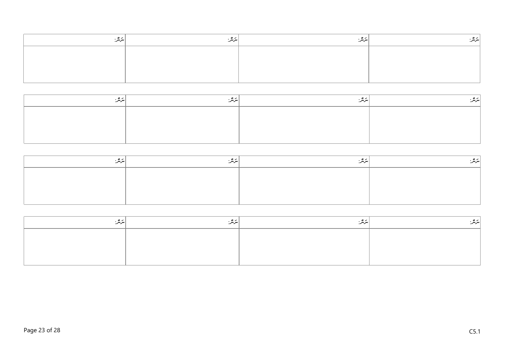| يره. | ο. | ا ير ه |  |
|------|----|--------|--|
|      |    |        |  |
|      |    |        |  |
|      |    |        |  |

| <sup>.</sup> سرسر. |  |
|--------------------|--|
|                    |  |
|                    |  |
|                    |  |

| ىئرىتر. | $\sim$ | ا بر هه. | لىرىش |
|---------|--------|----------|-------|
|         |        |          |       |
|         |        |          |       |
|         |        |          |       |

| 。<br>مرس. | $\overline{\phantom{a}}$<br>مر مىر | يتريثر |
|-----------|------------------------------------|--------|
|           |                                    |        |
|           |                                    |        |
|           |                                    |        |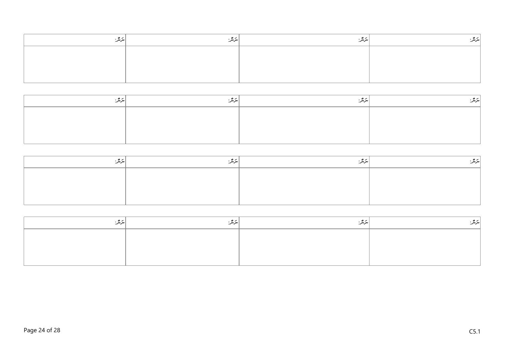| ير هو . | $\overline{\phantom{a}}$ | يرمر | اير هنه. |
|---------|--------------------------|------|----------|
|         |                          |      |          |
|         |                          |      |          |
|         |                          |      |          |

| ىر تىر: | $\circ$ $\sim$<br>" سرسر . | يبرحه | o . |
|---------|----------------------------|-------|-----|
|         |                            |       |     |
|         |                            |       |     |
|         |                            |       |     |

| ابترىثر: | $\sim$<br>. . |  |
|----------|---------------|--|
|          |               |  |
|          |               |  |
|          |               |  |

|  | . ه |
|--|-----|
|  |     |
|  |     |
|  |     |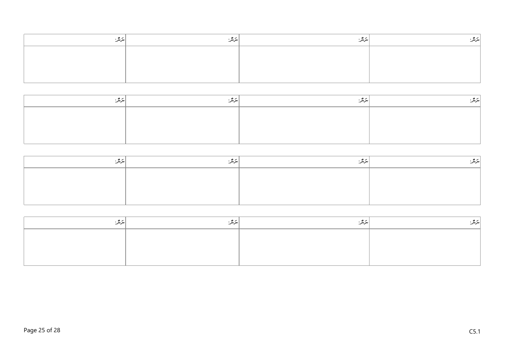| ير هو . | $\overline{\phantom{a}}$ | يرمر | اير هنه. |
|---------|--------------------------|------|----------|
|         |                          |      |          |
|         |                          |      |          |
|         |                          |      |          |

| ئىرتىر: | $\sim$<br>ا سرسر . | يئرمثر | o . |
|---------|--------------------|--------|-----|
|         |                    |        |     |
|         |                    |        |     |
|         |                    |        |     |

| انترنثر: | ر ه |  |
|----------|-----|--|
|          |     |  |
|          |     |  |
|          |     |  |

|  | . ه |
|--|-----|
|  |     |
|  |     |
|  |     |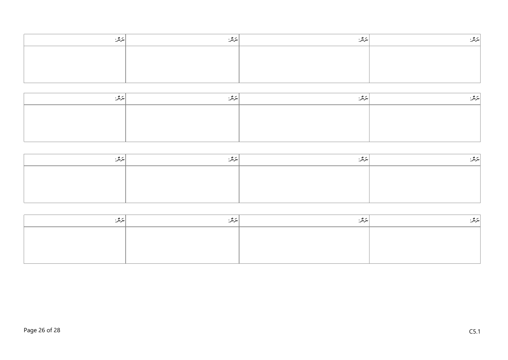| $\cdot$ | ο. | $\frac{\circ}{\cdot}$ | $\sim$<br>سرسر |
|---------|----|-----------------------|----------------|
|         |    |                       |                |
|         |    |                       |                |
|         |    |                       |                |

| يريثن | ' سرسر . |  |
|-------|----------|--|
|       |          |  |
|       |          |  |
|       |          |  |

| بر ه | 。 | $\overline{\phantom{0}}$<br>َ سومس. |  |
|------|---|-------------------------------------|--|
|      |   |                                     |  |
|      |   |                                     |  |
|      |   |                                     |  |

| 。<br>. س | ىرىىر |  |
|----------|-------|--|
|          |       |  |
|          |       |  |
|          |       |  |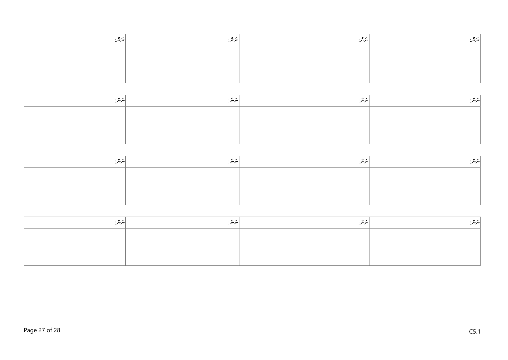| ير هو . | $\overline{\phantom{a}}$ | يرمر | لتزمثن |
|---------|--------------------------|------|--------|
|         |                          |      |        |
|         |                          |      |        |
|         |                          |      |        |

| ئىرتىر: | $\sim$<br>ا سرسر . | يئرمثر | o . |
|---------|--------------------|--------|-----|
|         |                    |        |     |
|         |                    |        |     |
|         |                    |        |     |

| 'تترنثر: | 。<br>,,,, |  |
|----------|-----------|--|
|          |           |  |
|          |           |  |
|          |           |  |

|  | . ه |
|--|-----|
|  |     |
|  |     |
|  |     |